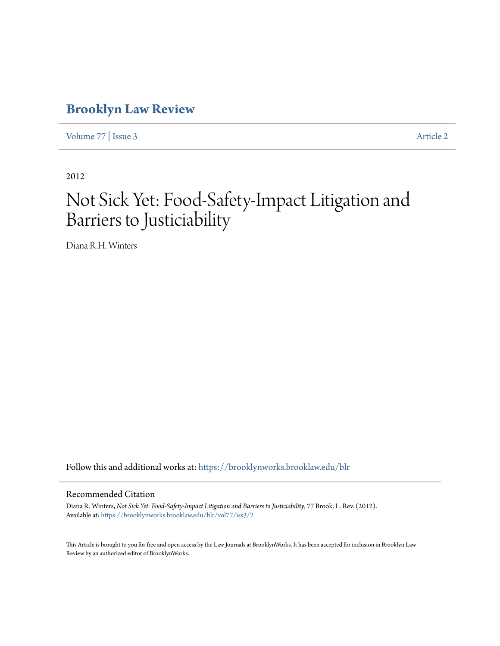# **[Brooklyn Law Review](https://brooklynworks.brooklaw.edu/blr?utm_source=brooklynworks.brooklaw.edu%2Fblr%2Fvol77%2Fiss3%2F2&utm_medium=PDF&utm_campaign=PDFCoverPages)**

[Volume 77](https://brooklynworks.brooklaw.edu/blr/vol77?utm_source=brooklynworks.brooklaw.edu%2Fblr%2Fvol77%2Fiss3%2F2&utm_medium=PDF&utm_campaign=PDFCoverPages) | [Issue 3](https://brooklynworks.brooklaw.edu/blr/vol77/iss3?utm_source=brooklynworks.brooklaw.edu%2Fblr%2Fvol77%2Fiss3%2F2&utm_medium=PDF&utm_campaign=PDFCoverPages) [Article 2](https://brooklynworks.brooklaw.edu/blr/vol77/iss3/2?utm_source=brooklynworks.brooklaw.edu%2Fblr%2Fvol77%2Fiss3%2F2&utm_medium=PDF&utm_campaign=PDFCoverPages)

2012

# Not Sick Yet: Food-Safety-Impact Litigation and Barriers to Justiciability

Diana R.H. Winters

Follow this and additional works at: [https://brooklynworks.brooklaw.edu/blr](https://brooklynworks.brooklaw.edu/blr?utm_source=brooklynworks.brooklaw.edu%2Fblr%2Fvol77%2Fiss3%2F2&utm_medium=PDF&utm_campaign=PDFCoverPages)

# Recommended Citation

Diana R. Winters, *Not Sick Yet: Food-Safety-Impact Litigation and Barriers to Justiciability*, 77 Brook. L. Rev. (2012). Available at: [https://brooklynworks.brooklaw.edu/blr/vol77/iss3/2](https://brooklynworks.brooklaw.edu/blr/vol77/iss3/2?utm_source=brooklynworks.brooklaw.edu%2Fblr%2Fvol77%2Fiss3%2F2&utm_medium=PDF&utm_campaign=PDFCoverPages)

This Article is brought to you for free and open access by the Law Journals at BrooklynWorks. It has been accepted for inclusion in Brooklyn Law Review by an authorized editor of BrooklynWorks.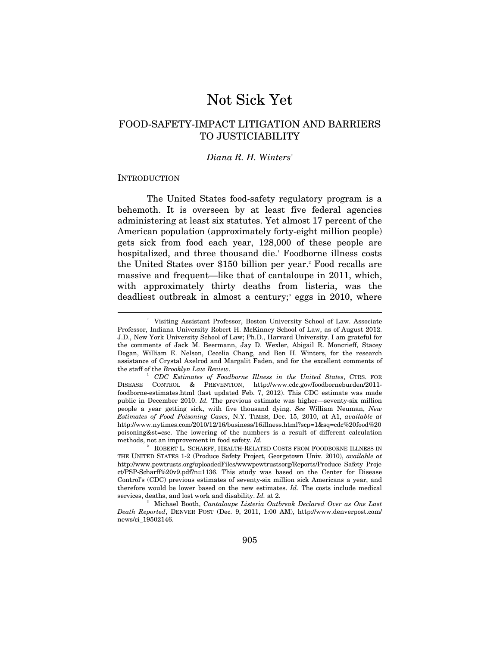# Not Sick Yet

# FOOD-SAFETY-IMPACT LITIGATION AND BARRIERS TO JUSTICIABILITY

### *Diana R. H. Winters*†

#### **INTRODUCTION**

 $\overline{a}$ 

The United States food-safety regulatory program is a behemoth. It is overseen by at least five federal agencies administering at least six statutes. Yet almost 17 percent of the American population (approximately forty-eight million people) gets sick from food each year, 128,000 of these people are hospitalized, and three thousand die.<sup>1</sup> Foodborne illness costs the United States over \$150 billion per year.<sup>2</sup> Food recalls are massive and frequent—like that of cantaloupe in 2011, which, with approximately thirty deaths from listeria, was the deadliest outbreak in almost a century;<sup>3</sup> eggs in 2010, where

 <sup>†</sup> Visiting Assistant Professor, Boston University School of Law. Associate Professor, Indiana University Robert H. McKinney School of Law, as of August 2012. J.D., New York University School of Law; Ph.D., Harvard University. I am grateful for the comments of Jack M. Beermann, Jay D. Wexler, Abigail R. Moncrieff, Stacey Dogan, William E. Nelson, Cecelia Chang, and Ben H. Winters, for the research assistance of Crystal Axelrod and Margalit Faden, and for the excellent comments of the staff of the *Brooklyn Law Review*. 1 *CDC Estimates of Foodborne Illness in the United States*, CTRS. FOR

DISEASE CONTROL & PREVENTION, http://www.cdc.gov/foodborneburden/2011 foodborne-estimates.html (last updated Feb. 7, 2012). This CDC estimate was made public in December 2010. *Id.* The previous estimate was higher—seventy-six million people a year getting sick, with five thousand dying. *See* William Neuman, *New Estimates of Food Poisoning Cases*, N.Y. TIMES, Dec. 15, 2010, at A1, *available at*  http://www.nytimes.com/2010/12/16/business/16illness.html?scp=1&sq=cdc%20food%20 poisoning&st=cse. The lowering of the numbers is a result of different calculation methods, not an improvement in food safety. *Id.* 2

ROBERT L. SCHARFF, HEALTH-RELATED COSTS FROM FOODBORNE ILLNESS IN THE UNITED STATES 1-2 (Produce Safety Project, Georgetown Univ. 2010), *available at*  http://www.pewtrusts.org/uploadedFiles/wwwpewtrustsorg/Reports/Produce\_Safety\_Proje ct/PSP-Scharff%20v9.pdf?n=1136. This study was based on the Center for Disease Control's (CDC) previous estimates of seventy-six million sick Americans a year, and therefore would be lower based on the new estimates. *Id.* The costs include medical services, deaths, and lost work and disability. *Id.* at 2.

Michael Booth, *Cantaloupe Listeria Outbreak Declared Over as One Last Death Reported*, DENVER POST (Dec. 9, 2011, 1:00 AM), http://www.denverpost.com/ news/ci\_19502146.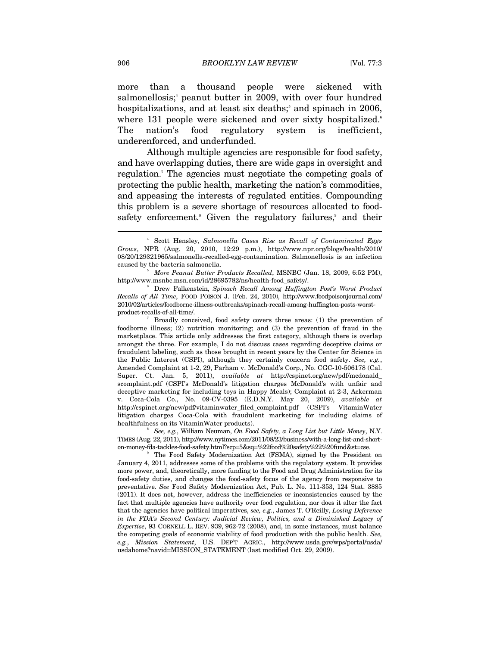more than a thousand people were sickened with salmonellosis;<sup>4</sup> peanut butter in 2009, with over four hundred hospitalizations, and at least six deaths;<sup>5</sup> and spinach in 2006, where 131 people were sickened and over sixty hospitalized.<sup>6</sup> The nation's food regulatory system is inefficient, underenforced, and underfunded.

Although multiple agencies are responsible for food safety, and have overlapping duties, there are wide gaps in oversight and regulation.<sup>7</sup> The agencies must negotiate the competing goals of protecting the public health, marketing the nation's commodities, and appeasing the interests of regulated entities. Compounding this problem is a severe shortage of resources allocated to foodsafety enforcement.<sup>8</sup> Given the regulatory failures,<sup>9</sup> and their

 *More Peanut Butter Products Recalled*, MSNBC (Jan. 18, 2009, 6:52 PM), http://www.msnbc.msn.com/id/28695782/ns/health-food\_safety/.

 Broadly conceived, food safety covers three areas: (1) the prevention of foodborne illness; (2) nutrition monitoring; and (3) the prevention of fraud in the marketplace. This article only addresses the first category, although there is overlap amongst the three. For example, I do not discuss cases regarding deceptive claims or fraudulent labeling, such as those brought in recent years by the Center for Science in the Public Interest (CSPI), although they certainly concern food safety. *See, e.g.*, Amended Complaint at 1-2, 29, Parham v. McDonald's Corp., No. CGC-10-506178 (Cal. Super. Ct. Jan. 5, 2011), *available at* http://cspinet.org/new/pdf/mcdonald\_ scomplaint.pdf (CSPI's McDonald's litigation charges McDonald's with unfair and deceptive marketing for including toys in Happy Meals); Complaint at 2-3, Ackerman v. Coca-Cola Co., No. 09-CV-0395 (E.D.N.Y. May 20, 2009), *available at* http://cspinet.org/new/pdf/vitaminwater\_filed\_complaint.pdf (CSPI's VitaminWater litigation charges Coca-Cola with fraudulent marketing for including claims of healthfulness on its VitaminWater products).

 *See, e.g.*, William Neuman, *On Food Safety, a Long List but Little Money*, N.Y. TIMES (Aug. 22, 2011), http://www.nytimes.com/2011/08/23/business/with-a-long-list-and-shorton-money-fda-tackles-food-safety.html?scp=5&sq=%22food%20safety%22%20fund&st=cse. 9

 The Food Safety Modernization Act (FSMA), signed by the President on January 4, 2011, addresses some of the problems with the regulatory system. It provides more power, and, theoretically, more funding to the Food and Drug Administration for its food-safety duties, and changes the food-safety focus of the agency from responsive to preventative. *See* Food Safety Modernization Act, Pub. L. No. 111-353, 124 Stat. 3885 (2011). It does not, however, address the inefficiencies or inconsistencies caused by the fact that multiple agencies have authority over food regulation, nor does it alter the fact that the agencies have political imperatives, *see, e.g.*, James T. O'Reilly, *Losing Deference in the FDA's Second Century: Judicial Review, Politics, and a Diminished Legacy of Expertise*, 93 CORNELL L. REV. 939, 962-72 (2008), and, in some instances, must balance the competing goals of economic viability of food production with the public health. *See, e.g.*, *Mission Statement*, U.S. DEP'T AGRIC., http://www.usda.gov/wps/portal/usda/ usdahome?navid=MISSION\_STATEMENT (last modified Oct. 29, 2009).

<sup>4</sup> Scott Hensley, *Salmonella Cases Rise as Recall of Contaminated Eggs Grows*, NPR (Aug. 20, 2010, 12:29 p.m.), http://www.npr.org/blogs/health/2010/ 08/20/129321965/salmonella-recalled-egg-contamination. Salmonellosis is an infection caused by the bacteria salmonella. 5

Drew Falkenstein, *Spinach Recall Among Huffington Post's Worst Product Recalls of All Time*, FOOD POISON J. (Feb. 24, 2010), http://www.foodpoisonjournal.com/ 2010/02/articles/foodborne-illness-outbreaks/spinach-recall-among-huffington-posts-worstproduct-recalls-of-all-time/. 7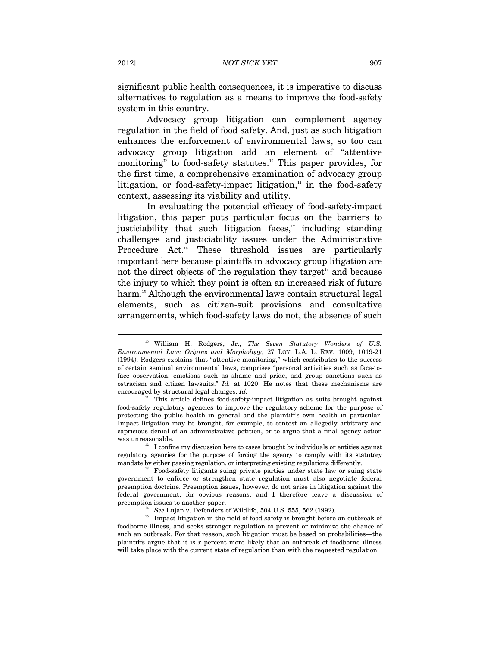significant public health consequences, it is imperative to discuss alternatives to regulation as a means to improve the food-safety system in this country.

Advocacy group litigation can complement agency regulation in the field of food safety. And, just as such litigation enhances the enforcement of environmental laws, so too can advocacy group litigation add an element of "attentive monitoring" to food-safety statutes.<sup>10</sup> This paper provides, for the first time, a comprehensive examination of advocacy group litigation, or food-safety-impact litigation, $\mathbf{u}$  in the food-safety context, assessing its viability and utility.

In evaluating the potential efficacy of food-safety-impact litigation, this paper puts particular focus on the barriers to justiciability that such litigation faces, $12$  including standing challenges and justiciability issues under the Administrative Procedure Act.<sup>13</sup> These threshold issues are particularly important here because plaintiffs in advocacy group litigation are not the direct objects of the regulation they target<sup> $14$ </sup> and because the injury to which they point is often an increased risk of future harm.<sup>15</sup> Although the environmental laws contain structural legal elements, such as citizen-suit provisions and consultative arrangements, which food-safety laws do not, the absence of such

<sup>10</sup> William H. Rodgers, Jr., *The Seven Statutory Wonders of U.S. Environmental Law: Origins and Morphology*, 27 LOY. L.A. L. REV. 1009, 1019-21 (1994). Rodgers explains that "attentive monitoring," which contributes to the success of certain seminal environmental laws, comprises "personal activities such as face-toface observation, emotions such as shame and pride, and group sanctions such as ostracism and citizen lawsuits." *Id.* at 1020. He notes that these mechanisms are encouraged by structural legal changes. *Id.* <sup>11</sup> This article defines food-safety-impact litigation as suits brought against

food-safety regulatory agencies to improve the regulatory scheme for the purpose of protecting the public health in general and the plaintiff's own health in particular. Impact litigation may be brought, for example, to contest an allegedly arbitrary and capricious denial of an administrative petition, or to argue that a final agency action was unreasonable.<br><sup>12</sup> I confine my discussion here to cases brought by individuals or entities against

regulatory agencies for the purpose of forcing the agency to comply with its statutory mandate by either passing regulation, or interpreting existing regulations differently.<br><sup>13</sup> Food-safety litigants suing private parties under state law or suing state

government to enforce or strengthen state regulation must also negotiate federal preemption doctrine. Preemption issues, however, do not arise in litigation against the federal government, for obvious reasons, and I therefore leave a discussion of

 $^{14}$  *See* Lujan v. Defenders of Wildlife, 504 U.S. 555, 562 (1992). Impact litigation in the field of food safety is brought before an outbreak of foodborne illness, and seeks stronger regulation to prevent or minimize the chance of such an outbreak. For that reason, such litigation must be based on probabilities—the plaintiffs argue that it is *x* percent more likely that an outbreak of foodborne illness will take place with the current state of regulation than with the requested regulation.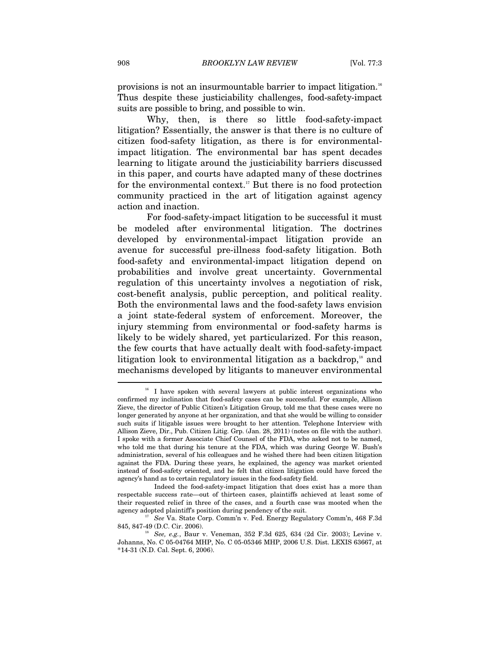provisions is not an insurmountable barrier to impact litigation.16 Thus despite these justiciability challenges, food-safety-impact suits are possible to bring, and possible to win.

Why, then, is there so little food-safety-impact litigation? Essentially, the answer is that there is no culture of citizen food-safety litigation, as there is for environmentalimpact litigation. The environmental bar has spent decades learning to litigate around the justiciability barriers discussed in this paper, and courts have adapted many of these doctrines for the environmental context.<sup>17</sup> But there is no food protection community practiced in the art of litigation against agency action and inaction.

For food-safety-impact litigation to be successful it must be modeled after environmental litigation. The doctrines developed by environmental-impact litigation provide an avenue for successful pre-illness food-safety litigation. Both food-safety and environmental-impact litigation depend on probabilities and involve great uncertainty. Governmental regulation of this uncertainty involves a negotiation of risk, cost-benefit analysis, public perception, and political reality. Both the environmental laws and the food-safety laws envision a joint state-federal system of enforcement. Moreover, the injury stemming from environmental or food-safety harms is likely to be widely shared, yet particularized. For this reason, the few courts that have actually dealt with food-safety-impact litigation look to environmental litigation as a backdrop, $^8$  and mechanisms developed by litigants to maneuver environmental  $\overline{a}$ 

 $^{16}$  I have spoken with several lawyers at public interest organizations who confirmed my inclination that food-safety cases can be successful. For example, Allison Zieve, the director of Public Citizen's Litigation Group, told me that these cases were no longer generated by anyone at her organization, and that she would be willing to consider such suits if litigable issues were brought to her attention. Telephone Interview with Allison Zieve, Dir., Pub. Citizen Litig. Grp. (Jan. 28, 2011) (notes on file with the author). I spoke with a former Associate Chief Counsel of the FDA, who asked not to be named, who told me that during his tenure at the FDA, which was during George W. Bush's administration, several of his colleagues and he wished there had been citizen litigation against the FDA. During these years, he explained, the agency was market oriented instead of food-safety oriented, and he felt that citizen litigation could have forced the agency's hand as to certain regulatory issues in the food-safety field.

Indeed the food-safety-impact litigation that does exist has a more than respectable success rate—out of thirteen cases, plaintiffs achieved at least some of their requested relief in three of the cases, and a fourth case was mooted when the

agency adopted plaintiff's position during pendency of the suit.<br><sup>17</sup> See Va. State Corp. Comm'n v. Fed. Energy Regulatory Comm'n, 468 F.3d<br>845, 847-49 (D.C. Cir. 2006).

<sup>&</sup>lt;sup>18</sup> See, e.g., Baur v. Veneman, 352 F.3d 625, 634 (2d Cir. 2003); Levine v. Johanns, No. C 05-04764 MHP, No. C 05-05346 MHP, 2006 U.S. Dist. LEXIS 63667, at \*14-31 (N.D. Cal. Sept. 6, 2006).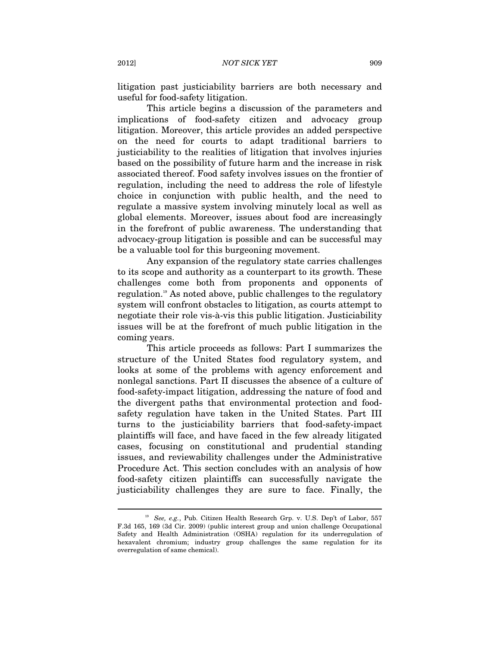litigation past justiciability barriers are both necessary and useful for food-safety litigation.

This article begins a discussion of the parameters and implications of food-safety citizen and advocacy group litigation. Moreover, this article provides an added perspective on the need for courts to adapt traditional barriers to justiciability to the realities of litigation that involves injuries based on the possibility of future harm and the increase in risk associated thereof. Food safety involves issues on the frontier of regulation, including the need to address the role of lifestyle choice in conjunction with public health, and the need to regulate a massive system involving minutely local as well as global elements. Moreover, issues about food are increasingly in the forefront of public awareness. The understanding that advocacy-group litigation is possible and can be successful may be a valuable tool for this burgeoning movement.

Any expansion of the regulatory state carries challenges to its scope and authority as a counterpart to its growth. These challenges come both from proponents and opponents of regulation.19 As noted above, public challenges to the regulatory system will confront obstacles to litigation, as courts attempt to negotiate their role vis-à-vis this public litigation. Justiciability issues will be at the forefront of much public litigation in the coming years.

This article proceeds as follows: Part I summarizes the structure of the United States food regulatory system, and looks at some of the problems with agency enforcement and nonlegal sanctions. Part II discusses the absence of a culture of food-safety-impact litigation, addressing the nature of food and the divergent paths that environmental protection and foodsafety regulation have taken in the United States. Part III turns to the justiciability barriers that food-safety-impact plaintiffs will face, and have faced in the few already litigated cases, focusing on constitutional and prudential standing issues, and reviewability challenges under the Administrative Procedure Act. This section concludes with an analysis of how food-safety citizen plaintiffs can successfully navigate the justiciability challenges they are sure to face. Finally, the

<sup>19</sup> *See, e.g.*, Pub. Citizen Health Research Grp. v. U.S. Dep't of Labor, 557 F.3d 165, 169 (3d Cir. 2009) (public interest group and union challenge Occupational Safety and Health Administration (OSHA) regulation for its underregulation of hexavalent chromium; industry group challenges the same regulation for its overregulation of same chemical).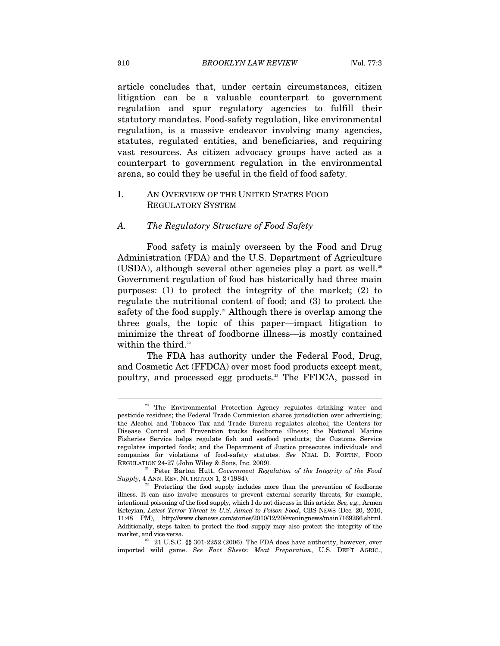article concludes that, under certain circumstances, citizen litigation can be a valuable counterpart to government regulation and spur regulatory agencies to fulfill their statutory mandates. Food-safety regulation, like environmental regulation, is a massive endeavor involving many agencies, statutes, regulated entities, and beneficiaries, and requiring vast resources. As citizen advocacy groups have acted as a counterpart to government regulation in the environmental arena, so could they be useful in the field of food safety.

# I. AN OVERVIEW OF THE UNITED STATES FOOD REGULATORY SYSTEM

# *A. The Regulatory Structure of Food Safety*

Food safety is mainly overseen by the Food and Drug Administration (FDA) and the U.S. Department of Agriculture (USDA), although several other agencies play a part as well.<sup>20</sup> Government regulation of food has historically had three main purposes: (1) to protect the integrity of the market; (2) to regulate the nutritional content of food; and (3) to protect the safety of the food supply.<sup>21</sup> Although there is overlap among the three goals, the topic of this paper—impact litigation to minimize the threat of foodborne illness—is mostly contained within the third. $22$ 

The FDA has authority under the Federal Food, Drug, and Cosmetic Act (FFDCA) over most food products except meat, poultry, and processed egg products.<sup>23</sup> The FFDCA, passed in

<sup>&</sup>lt;sup>20</sup> The Environmental Protection Agency regulates drinking water and pesticide residues; the Federal Trade Commission shares jurisdiction over advertising; the Alcohol and Tobacco Tax and Trade Bureau regulates alcohol; the Centers for Disease Control and Prevention tracks foodborne illness; the National Marine Fisheries Service helps regulate fish and seafood products; the Customs Service regulates imported foods; and the Department of Justice prosecutes individuals and companies for violations of food-safety statutes. *See* NEAL D. FORTIN, FOOD REGULATION 24-27 (John Wiley & Sons, Inc. 2009). 21 Peter Barton Hutt, *Government Regulation of the Integrity of the Food* 

*Supply*, 4 ANN. REV. NUTRITION 1, 2 (1984). <sup>2</sup><br><sup>22</sup> Protecting the food supply includes more than the prevention of foodborne

illness. It can also involve measures to prevent external security threats, for example, intentional poisoning of the food supply, which I do not discuss in this article. *See, e.g.*, Armen Keteyian, *Latest Terror Threat in U.S. Aimed to Poison Food*, CBS NEWS (Dec. 20, 2010, 11:48 PM), http://www.cbsnews.com/stories/2010/12/20/eveningnews/main7169266.shtml. Additionally, steps taken to protect the food supply may also protect the integrity of the market, and vice versa.  $^{23}$  21 U.S.C. §§ 301-2252 (2006). The FDA does have authority, however, over

imported wild game. *See Fact Sheets: Meat Preparation*, U.S. DEP'T AGRIC.,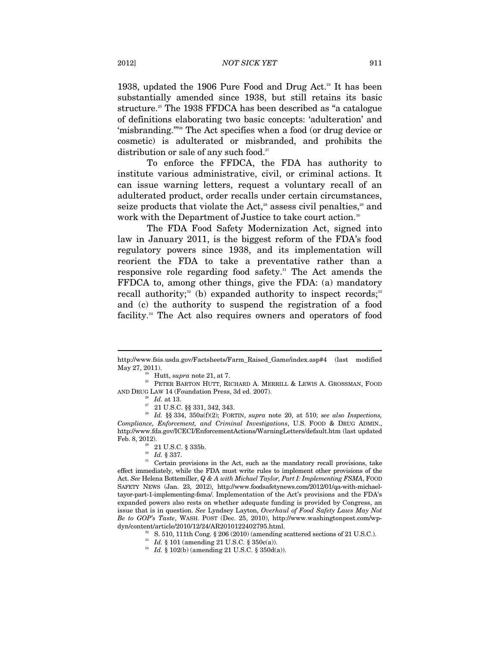1938, updated the 1906 Pure Food and Drug Act.<sup>24</sup> It has been substantially amended since 1938, but still retains its basic structure.<sup>25</sup> The 1938 FFDCA has been described as "a catalogue of definitions elaborating two basic concepts: 'adulteration' and 'misbranding.'"26 The Act specifies when a food (or drug device or cosmetic) is adulterated or misbranded, and prohibits the distribution or sale of any such food.<sup>27</sup>

To enforce the FFDCA, the FDA has authority to institute various administrative, civil, or criminal actions. It can issue warning letters, request a voluntary recall of an adulterated product, order recalls under certain circumstances, seize products that violate the Act, $2^8$  assess civil penalties, $2^9$  and work with the Department of Justice to take court action.<sup>30</sup>

The FDA Food Safety Modernization Act, signed into law in January 2011, is the biggest reform of the FDA's food regulatory powers since 1938, and its implementation will reorient the FDA to take a preventative rather than a responsive role regarding food safety.31 The Act amends the FFDCA to, among other things, give the FDA: (a) mandatory recall authority;<sup>32</sup> (b) expanded authority to inspect records;<sup>33</sup> and (c) the authority to suspend the registration of a food facility.<sup>34</sup> The Act also requires owners and operators of food

http://www.fsis.usda.gov/Factsheets/Farm\_Raised\_Game/index.asp#4 (last modified May 27, 2011). <sup>24</sup> Hutt, *supra* note 21, at 7. <br><sup>25</sup> PETER BARTON HUTT, RICHARD A. MERRILL & LEWIS A. GROSSMAN, FOOD

AND DRUG LAW 14 (Foundation Press, 3d ed. 2007). 26 *Id.* at 13. 27 21 U.S.C. §§ 331, 342, 343.

<sup>28</sup> *Id.* §§ 334, 350a(f)(2); FORTIN, *supra* note 20, at 510; *see also Inspections, Compliance, Enforcement, and Criminal Investigations*, U.S. FOOD & DRUG ADMIN., http://www.fda.gov/ICECI/EnforcementActions/WarningLetters/default.htm (last updated Feb. 8, 2012).

<sup>&</sup>lt;sup>29</sup> 21 U.S.C. § 335b.<br><sup>30</sup> *Id.* § 337.<br><sup>31</sup> Certain provisions in the Act, such as the mandatory recall provisions, take effect immediately, while the FDA must write rules to implement other provisions of the Act. *See* Helena Bottemiller, *Q & A with Michael Taylor, Part I: Implementing FSMA*, FOOD SAFETY NEWS (Jan. 23, 2012), http://www.foodsafetynews.com/2012/01/qa-with-michaeltayor-part-1-implementing-fsma/. Implementation of the Act's provisions and the FDA's expanded powers also rests on whether adequate funding is provided by Congress, an issue that is in question. *See* Lyndsey Layton, *Overhaul of Food Safety Laws May Not Be to GOP's Taste*, WASH. POST (Dec. 25, 2010), http://www.washingtonpost.com/wp-

 $^{32}$  S. 510, 111th Cong. § 206 (2010) (amending scattered sections of 21 U.S.C.).  $^{33}$   $Id.$  § 101 (amending 21 U.S.C. § 350c(a)).

<sup>&</sup>lt;sup>34</sup> Id. § 102(b) (amending 21 U.S.C. § 350d(a)).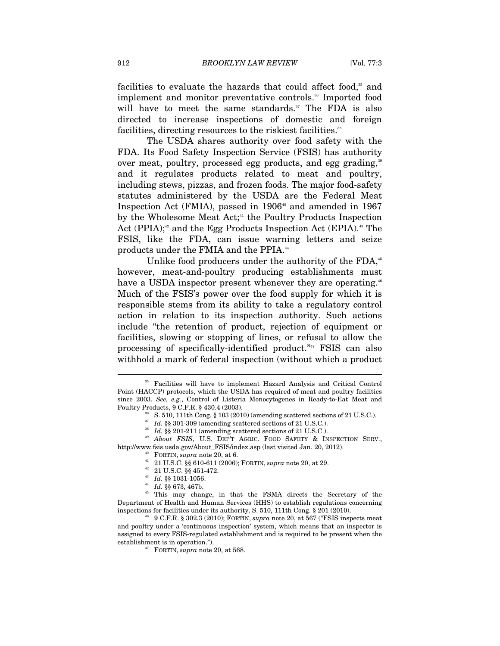facilities to evaluate the hazards that could affect food,<sup>35</sup> and implement and monitor preventative controls.<sup>36</sup> Imported food will have to meet the same standards.<sup>37</sup> The FDA is also directed to increase inspections of domestic and foreign facilities, directing resources to the riskiest facilities.<sup>38</sup>

The USDA shares authority over food safety with the FDA. Its Food Safety Inspection Service (FSIS) has authority over meat, poultry, processed egg products, and egg grading,<sup>39</sup> and it regulates products related to meat and poultry, including stews, pizzas, and frozen foods. The major food-safety statutes administered by the USDA are the Federal Meat Inspection Act (FMIA), passed in  $1906^{\text{40}}$  and amended in 1967 by the Wholesome Meat Act;<sup>41</sup> the Poultry Products Inspection Act (PPIA); $42$  and the Egg Products Inspection Act (EPIA). $43$  The FSIS, like the FDA, can issue warning letters and seize products under the FMIA and the PPIA.<sup>44</sup>

Unlike food producers under the authority of the FDA,<sup>45</sup> however, meat-and-poultry producing establishments must have a USDA inspector present whenever they are operating.<sup>46</sup> Much of the FSIS's power over the food supply for which it is responsible stems from its ability to take a regulatory control action in relation to its inspection authority. Such actions include "the retention of product, rejection of equipment or facilities, slowing or stopping of lines, or refusal to allow the processing of specifically-identified product."47 FSIS can also withhold a mark of federal inspection (without which a product

<sup>35</sup> Facilities will have to implement Hazard Analysis and Critical Control Point (HACCP) protocols, which the USDA has required of meat and poultry facilities since 2003. *See, e.g.*, Control of Listeria Monocytogenes in Ready-to-Eat Meat and Poultry Products, 9 C.F.R. § 430.4 (2003). Poultry Products, 9 C.F.R. § 430.4 (2003). 36 S. 510, 111th Cong. § 103 (2010) (amending scattered sections of 21 U.S.C.).

<sup>&</sup>lt;sup>37</sup> Id. §§ 301-309 (amending scattered sections of 21 U.S.C.).<br><sup>38</sup> Id. §§ 201-211 (amending scattered sections of 21 U.S.C.).<br><sup>39</sup> About *FSIS*, U.S. DEP'T AGRIC. FOOD SAFETY & INSPECTION SERV., http://www.fsis.usda.gov/About\_FSIS/index.asp (last visited Jan. 20, 2012). 40 FORTIN, *supra* note 20, at 6. 41 21 U.S.C. §§ 610-611 (2006); FORTIN, *supra* note 20, at 29. 42 21 U.S.C. §§ 451-472. 43 *Id.* §§ 1031-1056. 44 *Id.* §§ 673, 467b. 45 This may change, in that the FSMA directs the Secretary of the

Department of Health and Human Services (HHS) to establish regulations concerning

 $^{46}$  9 C.F.R. § 302.3 (2010); FORTIN,  $supra$  note 20, at 567 ("FSIS inspects meat and poultry under a 'continuous inspection' system, which means that an inspector is assigned to every FSIS-regulated establishment and is required to be present when the establishment is in operation."). 47 FORTIN, *supra* note 20, at 568.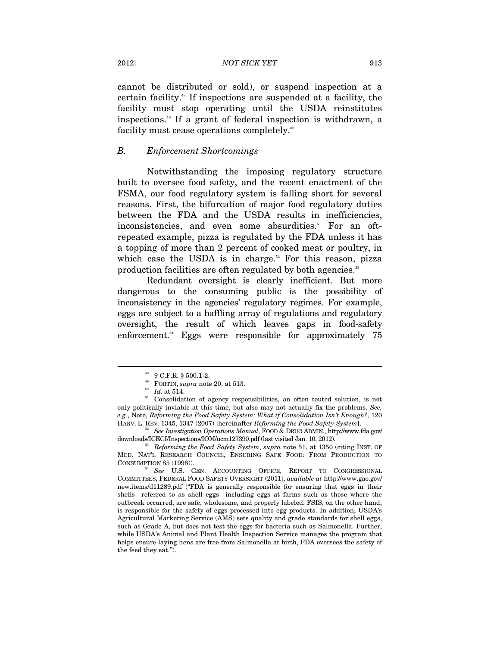cannot be distributed or sold), or suspend inspection at a certain facility.48 If inspections are suspended at a facility, the facility must stop operating until the USDA reinstitutes inspections.49 If a grant of federal inspection is withdrawn, a facility must cease operations completely.<sup>50</sup>

# *B. Enforcement Shortcomings*

Notwithstanding the imposing regulatory structure built to oversee food safety, and the recent enactment of the FSMA, our food regulatory system is falling short for several reasons. First, the bifurcation of major food regulatory duties between the FDA and the USDA results in inefficiencies, inconsistencies, and even some absurdities.<sup>51</sup> For an oftrepeated example, pizza is regulated by the FDA unless it has a topping of more than 2 percent of cooked meat or poultry, in which case the USDA is in charge.<sup>52</sup> For this reason, pizza production facilities are often regulated by both agencies.<sup>53</sup>

Redundant oversight is clearly inefficient. But more dangerous to the consuming public is the possibility of inconsistency in the agencies' regulatory regimes. For example, eggs are subject to a baffling array of regulations and regulatory oversight, the result of which leaves gaps in food-safety enforcement.<sup>54</sup> Eggs were responsible for approximately 75

 $^{48}$  9 C.F.R.  $\S$  500.1-2.  $^{49}$  FORTIN,  $supra$  note 20, at 513.

<sup>&</sup>lt;sup>50</sup> Id. at 514.<br><sup>50</sup> Id. at 514. <sup>51</sup> Consolidation of agency responsibilities, an often touted solution, is not only politically inviable at this time, but also may not actually fix the problems. *See, e.g.*, Note, *Reforming the Food Safety System: What if Consolidation Isn't Enough?*, 120 HARV. L. REV. 1345, 1347 (2007) [hereinafter *Reforming the Food Safety System*]. 52 *See Investigation Operations Manual*, FOOD & DRUG ADMIN., http://www.fda.gov/

downloads/ICECI/Inspections/IOM/ucm127390.pdf (last visited Jan. 10, 2012). 53 *Reforming the Food Safety System*, *supra* note 51, at 1350 (citing INST. OF

MED. NAT'L RESEARCH COUNCIL, ENSURING SAFE FOOD: FROM PRODUCTION TO

CONSUMPTION 85 (1998)). 54 *See* U.S. GEN. ACCOUNTING OFFICE, REPORT TO CONGRESSIONAL COMMITTEES, FEDERAL FOOD SAFETY OVERSIGHT (2011), *available at* http://www.gao.gov/ new.items/d11289.pdf ("FDA is generally responsible for ensuring that eggs in their shells—referred to as shell eggs—including eggs at farms such as those where the outbreak occurred, are safe, wholesome, and properly labeled. FSIS, on the other hand, is responsible for the safety of eggs processed into egg products. In addition, USDA's Agricultural Marketing Service (AMS) sets quality and grade standards for shell eggs, such as Grade A, but does not test the eggs for bacteria such as Salmonella. Further, while USDA's Animal and Plant Health Inspection Service manages the program that helps ensure laying hens are free from Salmonella at birth, FDA oversees the safety of the feed they eat.").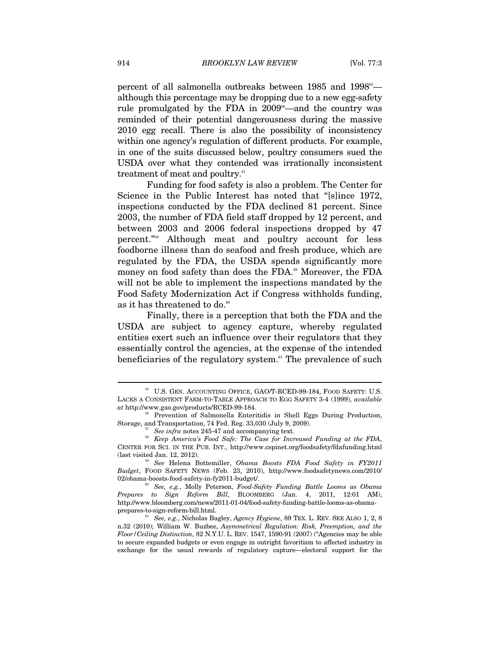percent of all salmonella outbreaks between 1985 and 1998<sup>55</sup> although this percentage may be dropping due to a new egg-safety rule promulgated by the FDA in  $2009<sup>56</sup>$ —and the country was reminded of their potential dangerousness during the massive 2010 egg recall. There is also the possibility of inconsistency within one agency's regulation of different products. For example, in one of the suits discussed below, poultry consumers sued the USDA over what they contended was irrationally inconsistent treatment of meat and poultry.<sup>57</sup>

Funding for food safety is also a problem. The Center for Science in the Public Interest has noted that "[s]ince 1972, inspections conducted by the FDA declined 81 percent. Since 2003, the number of FDA field staff dropped by 12 percent, and between 2003 and 2006 federal inspections dropped by 47 percent."58 Although meat and poultry account for less foodborne illness than do seafood and fresh produce, which are regulated by the FDA, the USDA spends significantly more money on food safety than does the FDA.<sup>59</sup> Moreover, the FDA will not be able to implement the inspections mandated by the Food Safety Modernization Act if Congress withholds funding, as it has threatened to do. $\scriptstyle{^{60}}$ 

Finally, there is a perception that both the FDA and the USDA are subject to agency capture, whereby regulated entities exert such an influence over their regulators that they essentially control the agencies, at the expense of the intended beneficiaries of the regulatory system.<sup>61</sup> The prevalence of such

 $^{55}$  U.S. GEN. ACCOUNTING OFFICE, GAO/T-RCED-99-184, FOOD SAFETY: U.S. LACKS A CONSISTENT FARM-TO-TABLE APPROACH TO EGG SAFETY 3-4 (1999), *available* 

<sup>&</sup>lt;sup>*a*</sup> Prevention of Salmonella Enteritidis in Shell Eggs During Production, Storage, and Transportation, 74 Fed. Reg. 33,030 (July 9, 2009). 57 *See infra* notes 245-47 and accompanying text. 58 *Keep America's Food Safe: The Case for Increased Funding at the FDA*,

CENTER FOR SCI. IN THE PUB. INT., http://www.cspinet.org/foodsafety/fdafunding.html (last visited Jan. 12, 2012). 59 *See* Helena Bottemiller, *Obama Boosts FDA Food Safety in FY2011* 

*Budget*, FOOD SAFETY NEWS (Feb. 23, 2010), http://www.foodsafetynews.com/2010/

<sup>&</sup>lt;sup>60</sup> See, e.g., Molly Peterson, *Food-Safety Funding Battle Looms as Obama Prepares to Sign Reform Bill*, BLOOMBERG (Jan. 4, 2011, 12:01 AM), http://www.bloomberg.com/news/2011-01-04/food-safety-funding-battle-looms-as-obamaprepares-to-sign-reform-bill.html. 61 *See, e.g.*, Nicholas Bagley, *Agency Hygiene*, 89 TEX. L. REV. SEE ALSO 1, 2, 8

n.32 (2010); William W. Buzbee, *Asymmetrical Regulation: Risk, Preemption, and the Floor/Ceiling Distinction*, 82 N.Y.U. L. REV. 1547, 1590-91 (2007) ("Agencies may be able to secure expanded budgets or even engage in outright favoritism to affected industry in exchange for the usual rewards of regulatory capture—electoral support for the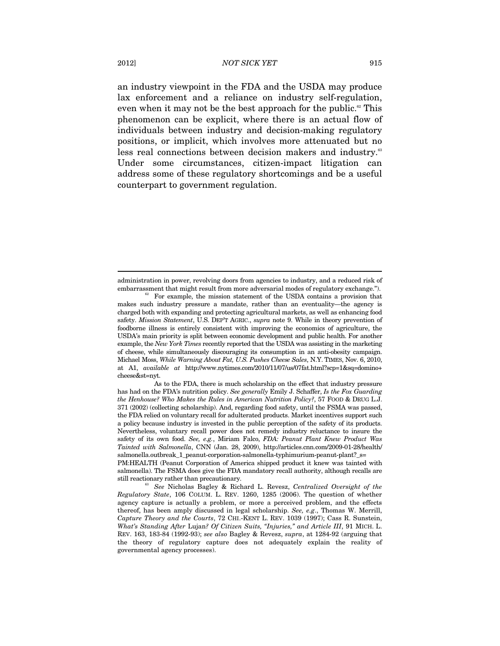an industry viewpoint in the FDA and the USDA may produce lax enforcement and a reliance on industry self-regulation, even when it may not be the best approach for the public.<sup>62</sup> This phenomenon can be explicit, where there is an actual flow of individuals between industry and decision-making regulatory positions, or implicit, which involves more attenuated but no less real connections between decision makers and industry.<sup>63</sup> Under some circumstances, citizen-impact litigation can address some of these regulatory shortcomings and be a useful counterpart to government regulation.

administration in power, revolving doors from agencies to industry, and a reduced risk of embarrassment that might result from more adversarial modes of regulatory exchange."). For example, the mission statement of the USDA contains a provision that

makes such industry pressure a mandate, rather than an eventuality—the agency is charged both with expanding and protecting agricultural markets, as well as enhancing food safety. *Mission Statement*, U.S. DEP'T AGRIC., *supra* note 9. While in theory prevention of foodborne illness is entirely consistent with improving the economics of agriculture, the USDA's main priority is split between economic development and public health. For another example, the *New York Times* recently reported that the USDA was assisting in the marketing of cheese, while simultaneously discouraging its consumption in an anti-obesity campaign. Michael Moss, *While Warning About Fat, U.S. Pushes Cheese Sales*, N.Y. TIMES, Nov. 6, 2010, at A1, *available at* http://www.nytimes.com/2010/11/07/us/07fat.html?scp=1&sq=domino+ cheese&st=nyt.

As to the FDA, there is much scholarship on the effect that industry pressure has had on the FDA's nutrition policy. *See generally* Emily J. Schaffer, *Is the Fox Guarding the Henhouse? Who Makes the Rules in American Nutrition Policy?*, 57 FOOD & DRUG L.J. 371 (2002) (collecting scholarship). And, regarding food safety, until the FSMA was passed, the FDA relied on voluntary recall for adulterated products. Market incentives support such a policy because industry is invested in the public perception of the safety of its products. Nevertheless, voluntary recall power does not remedy industry reluctance to insure the safety of its own food. *See, e.g.*, Miriam Falco, *FDA: Peanut Plant Knew Product Was Tainted with Salmonella*, CNN (Jan. 28, 2009), http://articles.cnn.com/2009-01-28/health/ salmonella.outbreak 1 peanut-corporation-salmonella-typhimurium-peanut-plant? s=

PM:HEALTH (Peanut Corporation of America shipped product it knew was tainted with salmonella). The FSMA does give the FDA mandatory recall authority, although recalls are still reactionary rather than precautionary. 63 *See* Nicholas Bagley & Richard L. Revesz, *Centralized Oversight of the* 

*Regulatory State*, 106 COLUM. L. REV. 1260, 1285 (2006). The question of whether agency capture is actually a problem, or more a perceived problem, and the effects thereof, has been amply discussed in legal scholarship. *See, e.g*., Thomas W. Merrill, *Capture Theory and the Courts*, 72 CHI.-KENT L. REV. 1039 (1997); Cass R. Sunstein, *What's Standing After* Lujan*? Of Citizen Suits, "Injuries," and Article III*, 91 MICH. L. REV. 163, 183-84 (1992-93); *see also* Bagley & Revesz, *supra*, at 1284-92 (arguing that the theory of regulatory capture does not adequately explain the reality of governmental agency processes).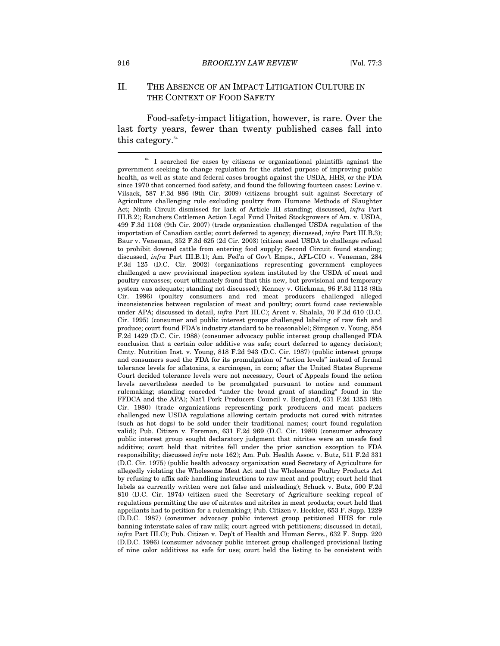# II. THE ABSENCE OF AN IMPACT LITIGATION CULTURE IN THE CONTEXT OF FOOD SAFETY

Food-safety-impact litigation, however, is rare. Over the last forty years, fewer than twenty published cases fall into this category.<sup>64</sup>  $\overline{a}$ 

 $64$  I searched for cases by citizens or organizational plaintiffs against the government seeking to change regulation for the stated purpose of improving public health, as well as state and federal cases brought against the USDA, HHS, or the FDA since 1970 that concerned food safety, and found the following fourteen cases: Levine v. Vilsack, 587 F.3d 986 (9th Cir. 2009) (citizens brought suit against Secretary of Agriculture challenging rule excluding poultry from Humane Methods of Slaughter Act; Ninth Circuit dismissed for lack of Article III standing; discussed, *infra* Part III.B.2); Ranchers Cattlemen Action Legal Fund United Stockgrowers of Am. v. USDA, 499 F.3d 1108 (9th Cir. 2007) (trade organization challenged USDA regulation of the importation of Canadian cattle; court deferred to agency; discussed, *infra* Part III.B.3); Baur v. Veneman, 352 F.3d 625 (2d Cir. 2003) (citizen sued USDA to challenge refusal to prohibit downed cattle from entering food supply; Second Circuit found standing; discussed, *infra* Part III.B.1); Am. Fed'n of Gov't Emps., AFL-CIO v. Veneman, 284 F.3d 125 (D.C. Cir. 2002) (organizations representing government employees challenged a new provisional inspection system instituted by the USDA of meat and poultry carcasses; court ultimately found that this new, but provisional and temporary system was adequate; standing not discussed); Kenney v. Glickman, 96 F.3d 1118 (8th Cir. 1996) (poultry consumers and red meat producers challenged alleged inconsistencies between regulation of meat and poultry; court found case reviewable under APA; discussed in detail, *infra* Part III.C); Arent v. Shalala, 70 F.3d 610 (D.C. Cir. 1995) (consumer and public interest groups challenged labeling of raw fish and produce; court found FDA's industry standard to be reasonable); Simpson v. Young, 854 F.2d 1429 (D.C. Cir. 1988) (consumer advocacy public interest group challenged FDA conclusion that a certain color additive was safe; court deferred to agency decision); Cmty. Nutrition Inst. v. Young, 818 F.2d 943 (D.C. Cir. 1987) (public interest groups and consumers sued the FDA for its promulgation of "action levels" instead of formal tolerance levels for aflatoxins, a carcinogen, in corn; after the United States Supreme Court decided tolerance levels were not necessary, Court of Appeals found the action levels nevertheless needed to be promulgated pursuant to notice and comment rulemaking; standing conceded "under the broad grant of standing" found in the FFDCA and the APA); Nat'l Pork Producers Council v. Bergland, 631 F.2d 1353 (8th Cir. 1980) (trade organizations representing pork producers and meat packers challenged new USDA regulations allowing certain products not cured with nitrates (such as hot dogs) to be sold under their traditional names; court found regulation valid); Pub. Citizen v. Foreman, 631 F.2d 969 (D.C. Cir. 1980) (consumer advocacy public interest group sought declaratory judgment that nitrites were an unsafe food additive; court held that nitrites fell under the prior sanction exception to FDA responsibility; discussed *infra* note 162); Am. Pub. Health Assoc. v. Butz, 511 F.2d 331 (D.C. Cir. 1975) (public health advocacy organization sued Secretary of Agriculture for allegedly violating the Wholesome Meat Act and the Wholesome Poultry Products Act by refusing to affix safe handling instructions to raw meat and poultry; court held that labels as currently written were not false and misleading); Schuck v. Butz, 500 F.2d 810 (D.C. Cir. 1974) (citizen sued the Secretary of Agriculture seeking repeal of regulations permitting the use of nitrates and nitrites in meat products; court held that appellants had to petition for a rulemaking); Pub. Citizen v. Heckler, 653 F. Supp. 1229 (D.D.C. 1987) (consumer advocacy public interest group petitioned HHS for rule banning interstate sales of raw milk; court agreed with petitioners; discussed in detail, *infra* Part III.C); Pub. Citizen v. Dep't of Health and Human Servs*.*, 632 F. Supp. 220 (D.D.C. 1986) (consumer advocacy public interest group challenged provisional listing of nine color additives as safe for use; court held the listing to be consistent with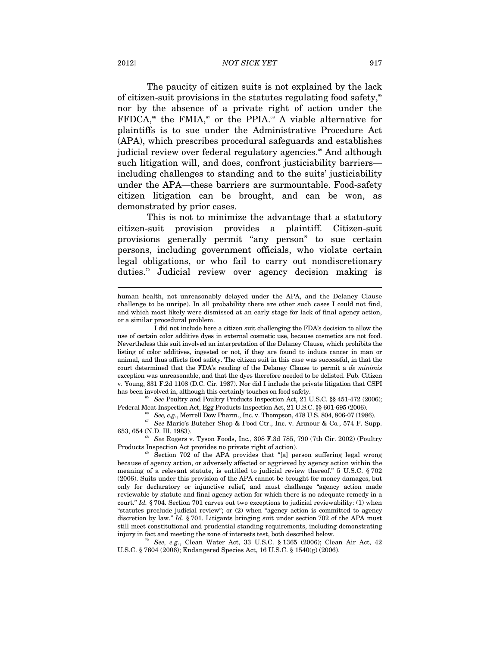#### 2012] *NOT SICK YET* 917

The paucity of citizen suits is not explained by the lack of citizen-suit provisions in the statutes regulating food safety,<sup> $55$ </sup> nor by the absence of a private right of action under the  $FFDCA$ ,<sup>66</sup> the FMIA,<sup>67</sup> or the PPIA.<sup>68</sup> A viable alternative for plaintiffs is to sue under the Administrative Procedure Act (APA), which prescribes procedural safeguards and establishes judicial review over federal regulatory agencies.<sup>69</sup> And although such litigation will, and does, confront justiciability barriers including challenges to standing and to the suits' justiciability under the APA—these barriers are surmountable. Food-safety citizen litigation can be brought, and can be won, as demonstrated by prior cases.

This is not to minimize the advantage that a statutory citizen-suit provision provides a plaintiff. Citizen-suit provisions generally permit "any person" to sue certain persons, including government officials, who violate certain legal obligations, or who fail to carry out nondiscretionary duties.70 Judicial review over agency decision making is

has been involved in, although this certainly touches on food safety.<br><sup>65</sup> See Poultry and Poultry Products Inspection Act, 21 U.S.C. §§ 451-472 (2006);<br>Federal Meat Inspection Act, Egg Products Inspection Act, 21 U.S.C. §

See, e.g., Merrell Dow Pharm., Inc. v. Thompson, 478 U.S. 804, 806-07 (1986).<br>
See Mario's Butcher Shop & Food Ctr., Inc. v. Armour & Co., 574 F. Supp.

653, 654 (N.D. Ill. 1983). 68 *See* Rogers v. Tyson Foods, Inc*.*, 308 F.3d 785, 790 (7th Cir. 2002) (Poultry

Products Inspection Act provides no private right of action).<br><sup>69</sup> Section 702 of the APA provides that "[a] person suffering legal wrong

U.S.C. § 7604 (2006); Endangered Species Act, 16 U.S.C. § 1540(g) (2006).

human health, not unreasonably delayed under the APA, and the Delaney Clause challenge to be unripe). In all probability there are other such cases I could not find, and which most likely were dismissed at an early stage for lack of final agency action, or a similar procedural problem.

I did not include here a citizen suit challenging the FDA's decision to allow the use of certain color additive dyes in external cosmetic use, because cosmetics are not food. Nevertheless this suit involved an interpretation of the Delaney Clause, which prohibits the listing of color additives, ingested or not, if they are found to induce cancer in man or animal, and thus affects food safety. The citizen suit in this case was successful, in that the court determined that the FDA's reading of the Delaney Clause to permit a *de minimis* exception was unreasonable, and that the dyes therefore needed to be delisted. Pub. Citizen v. Young, 831 F.2d 1108 (D.C. Cir. 1987). Nor did I include the private litigation that CSPI

because of agency action, or adversely affected or aggrieved by agency action within the meaning of a relevant statute, is entitled to judicial review thereof." 5 U.S.C. § 702 (2006). Suits under this provision of the APA cannot be brought for money damages, but only for declaratory or injunctive relief, and must challenge "agency action made reviewable by statute and final agency action for which there is no adequate remedy in a court." *Id.* § 704. Section 701 carves out two exceptions to judicial reviewability: (1) when "statutes preclude judicial review"; or (2) when "agency action is committed to agency discretion by law." *Id.* § 701. Litigants bringing suit under section 702 of the APA must still meet constitutional and prudential standing requirements, including demonstrating injury in fact and meeting the zone of interests test, both described below. 70 *See, e.g.*, Clean Water Act, 33 U.S.C. § 1365 (2006); Clean Air Act, 42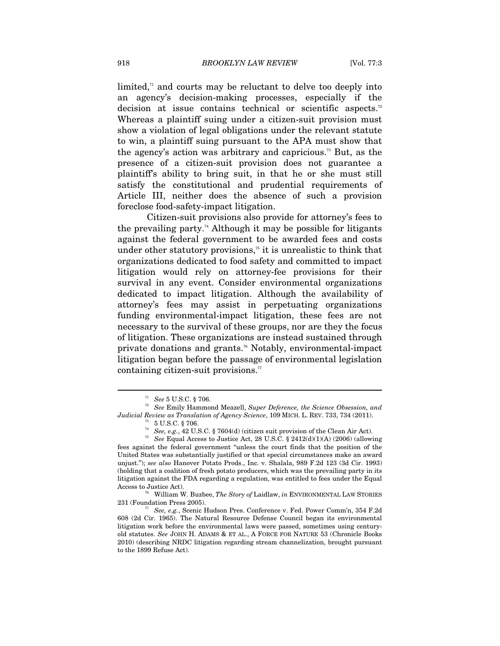limited, $\alpha$  and courts may be reluctant to delve too deeply into an agency's decision-making processes, especially if the decision at issue contains technical or scientific aspects.<sup>72</sup> Whereas a plaintiff suing under a citizen-suit provision must show a violation of legal obligations under the relevant statute to win, a plaintiff suing pursuant to the APA must show that the agency's action was arbitrary and capricious.<sup>73</sup> But, as the presence of a citizen-suit provision does not guarantee a plaintiff's ability to bring suit, in that he or she must still satisfy the constitutional and prudential requirements of Article III, neither does the absence of such a provision foreclose food-safety-impact litigation.

Citizen-suit provisions also provide for attorney's fees to the prevailing party.<sup>74</sup> Although it may be possible for litigants against the federal government to be awarded fees and costs under other statutory provisions,<sup> $5$ </sup> it is unrealistic to think that organizations dedicated to food safety and committed to impact litigation would rely on attorney-fee provisions for their survival in any event. Consider environmental organizations dedicated to impact litigation. Although the availability of attorney's fees may assist in perpetuating organizations funding environmental-impact litigation, these fees are not necessary to the survival of these groups, nor are they the focus of litigation. These organizations are instead sustained through private donations and grants.<sup>76</sup> Notably, environmental-impact litigation began before the passage of environmental legislation containing citizen-suit provisions. $77$ 

<sup>71</sup> *See* 5 U.S.C. § 706. 72 *See* Emily Hammond Meazell, *Super Deference, the Science Obsession, and Judicial Review as Translation of Agency Science*, 109 MICH. L. REV. 733, 734 (2011).<br><sup>73</sup> 5 U.S.C. § 706.<br><sup>74</sup> *See, e.g.*, 42 U.S.C. § 7604(d) (citizen suit provision of the Clean Air Act).

<sup>&</sup>lt;sup>75</sup> See Equal Access to Justice Act, 28 U.S.C. § 2412(d)(1)(A) (2006) (allowing fees against the federal government "unless the court finds that the position of the United States was substantially justified or that special circumstances make an award unjust."); *see also* Hanover Potato Prods., Inc. v. Shalala, 989 F.2d 123 (3d Cir. 1993) (holding that a coalition of fresh potato producers, which was the prevailing party in its litigation against the FDA regarding a regulation, was entitled to fees under the Equal

Access to Justice Act).<br><sup>76</sup> William W. Buzbee, *The Story of* Laidlaw, *in* ENVIRONMENTAL LAW STORIES<br>231 (Foundation Press 2005).

<sup>&</sup>lt;sup>77</sup> See, e.g., Scenic Hudson Pres. Conference v. Fed. Power Comm'n, 354 F.2d 608 (2d Cir. 1965). The Natural Resource Defense Council began its environmental litigation work before the environmental laws were passed, sometimes using centuryold statutes. *See* JOHN H. ADAMS & ET AL., A FORCE FOR NATURE 53 (Chronicle Books 2010) (describing NRDC litigation regarding stream channelization, brought pursuant to the 1899 Refuse Act).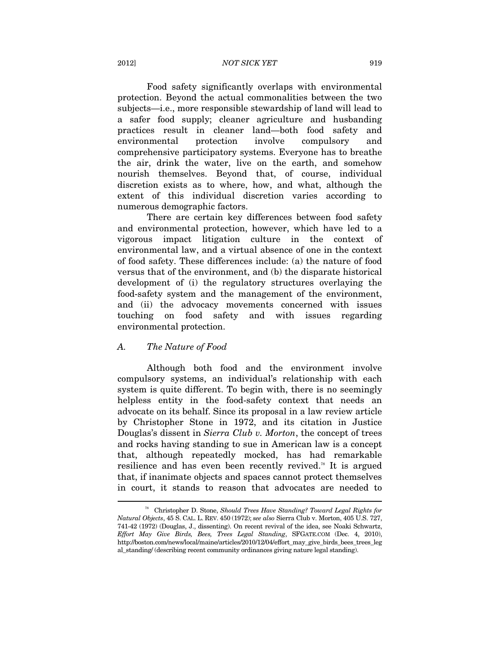# 2012] *NOT SICK YET* 919

Food safety significantly overlaps with environmental protection. Beyond the actual commonalities between the two subjects—i.e., more responsible stewardship of land will lead to a safer food supply; cleaner agriculture and husbanding practices result in cleaner land—both food safety and environmental protection involve compulsory and comprehensive participatory systems. Everyone has to breathe the air, drink the water, live on the earth, and somehow nourish themselves. Beyond that, of course, individual discretion exists as to where, how, and what, although the extent of this individual discretion varies according to numerous demographic factors.

There are certain key differences between food safety and environmental protection, however, which have led to a vigorous impact litigation culture in the context of environmental law, and a virtual absence of one in the context of food safety. These differences include: (a) the nature of food versus that of the environment, and (b) the disparate historical development of (i) the regulatory structures overlaying the food-safety system and the management of the environment, and (ii) the advocacy movements concerned with issues touching on food safety and with issues regarding environmental protection.

#### *A. The Nature of Food*

 $\overline{a}$ 

Although both food and the environment involve compulsory systems, an individual's relationship with each system is quite different. To begin with, there is no seemingly helpless entity in the food-safety context that needs an advocate on its behalf. Since its proposal in a law review article by Christopher Stone in 1972, and its citation in Justice Douglas's dissent in *Sierra Club v. Morton*, the concept of trees and rocks having standing to sue in American law is a concept that, although repeatedly mocked, has had remarkable resilience and has even been recently revived.78 It is argued that, if inanimate objects and spaces cannot protect themselves in court, it stands to reason that advocates are needed to

<sup>78</sup> Christopher D. Stone, *Should Trees Have Standing? Toward Legal Rights for Natural Objects*, 45 S. CAL. L. REV. 450 (1972); *see also* Sierra Club v. Morton, 405 U.S. 727, 741-42 (1972) (Douglas, J., dissenting). On recent revival of the idea, see Noaki Schwartz, *Effort May Give Birds, Bees, Trees Legal Standing*, SFGATE.COM (Dec. 4, 2010), http://boston.com/news/local/maine/articles/2010/12/04/effort\_may\_give\_birds\_bees\_trees\_leg al\_standing/ (describing recent community ordinances giving nature legal standing).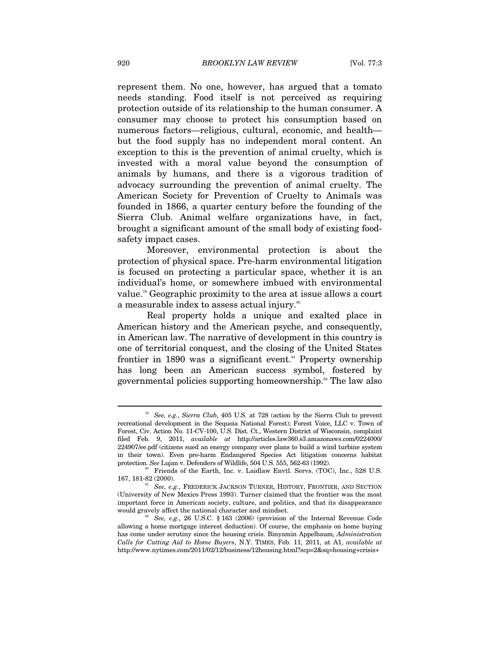represent them. No one, however, has argued that a tomato needs standing. Food itself is not perceived as requiring protection outside of its relationship to the human consumer. A consumer may choose to protect his consumption based on numerous factors—religious, cultural, economic, and health but the food supply has no independent moral content. An exception to this is the prevention of animal cruelty, which is invested with a moral value beyond the consumption of animals by humans, and there is a vigorous tradition of advocacy surrounding the prevention of animal cruelty. The American Society for Prevention of Cruelty to Animals was founded in 1866, a quarter century before the founding of the Sierra Club. Animal welfare organizations have, in fact, brought a significant amount of the small body of existing foodsafety impact cases.

Moreover, environmental protection is about the protection of physical space. Pre-harm environmental litigation is focused on protecting a particular space, whether it is an individual's home, or somewhere imbued with environmental value.79 Geographic proximity to the area at issue allows a court a measurable index to assess actual injury.<sup>80</sup>

Real property holds a unique and exalted place in American history and the American psyche, and consequently, in American law. The narrative of development in this country is one of territorial conquest, and the closing of the United States frontier in 1890 was a significant event.<sup>81</sup> Property ownership has long been an American success symbol, fostered by governmental policies supporting homeownership.<sup>82</sup> The law also

<sup>79</sup> *See, e.g.*, *Sierra Club*, 405 U.S. at 728 (action by the Sierra Club to prevent recreational development in the Sequoia National Forest); Forest Voice, LLC v. Town of Forest, Civ. Action No. 11-CV-100, U.S. Dist. Ct., Western District of Wisconsin, complaint filed Feb. 9, 2011, *available at* http://articles.law360.s3.amazonaws.com/0224000/ 224907/ee.pdf (citizens sued an energy company over plans to build a wind turbine system in their town). Even pre-harm Endangered Species Act litigation concerns habitat protection. *See Lujan v. Defenders of Wildlife, 504 U.S. 555, 562-63 (1992).* <sup>80</sup> Friends of the Earth, Inc. v. Laidlaw Envtl. Servs. (TOC), Inc., 528 U.S.

<sup>167, 181-82 (2000). 81</sup> *See, e.g.*, FREDERICK JACKSON TURNER, HISTORY, FRONTIER, AND SECTION

<sup>(</sup>University of New Mexico Press 1993). Turner claimed that the frontier was the most important force in American society, culture, and politics, and that its disappearance

<sup>&</sup>lt;sup>82</sup> See, e.g., 26 U.S.C. § 163 (2006) (provision of the Internal Revenue Code allowing a home mortgage interest deduction). Of course, the emphasis on home buying has come under scrutiny since the housing crisis. Binyamin Appelbaum, *Administration Calls for Cutting Aid to Home Buyers*, N.Y. TIMES, Feb. 11, 2011, at A1, *available at*  http://www.nytimes.com/2011/02/12/business/12housing.html?scp=2&sq=housing+crisis+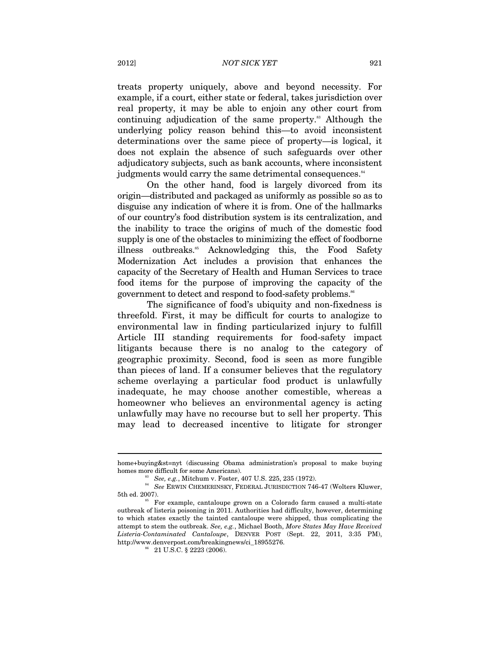treats property uniquely, above and beyond necessity. For example, if a court, either state or federal, takes jurisdiction over real property, it may be able to enjoin any other court from continuing adjudication of the same property.<sup>83</sup> Although the underlying policy reason behind this—to avoid inconsistent determinations over the same piece of property—is logical, it does not explain the absence of such safeguards over other adjudicatory subjects, such as bank accounts, where inconsistent judgments would carry the same detrimental consequences.<sup>84</sup>

On the other hand, food is largely divorced from its origin—distributed and packaged as uniformly as possible so as to disguise any indication of where it is from. One of the hallmarks of our country's food distribution system is its centralization, and the inability to trace the origins of much of the domestic food supply is one of the obstacles to minimizing the effect of foodborne illness outbreaks.<sup>85</sup> Acknowledging this, the Food Safety Modernization Act includes a provision that enhances the capacity of the Secretary of Health and Human Services to trace food items for the purpose of improving the capacity of the government to detect and respond to food-safety problems.<sup>86</sup>

The significance of food's ubiquity and non-fixedness is threefold. First, it may be difficult for courts to analogize to environmental law in finding particularized injury to fulfill Article III standing requirements for food-safety impact litigants because there is no analog to the category of geographic proximity. Second, food is seen as more fungible than pieces of land. If a consumer believes that the regulatory scheme overlaying a particular food product is unlawfully inadequate, he may choose another comestible, whereas a homeowner who believes an environmental agency is acting unlawfully may have no recourse but to sell her property. This may lead to decreased incentive to litigate for stronger

home+buying&st=nyt (discussing Obama administration's proposal to make buying

<sup>%%</sup> homes more difficult for some Americans). <br><sup>84</sup> *See, e.g.*, Mitchum v. Foster, 407 U.S. 225, 235 (1972).<br><sup>84</sup> *See* ERWIN CHEMERINSKY, FEDERAL JURISDICTION 746-47 (Wolters Kluwer, 5th ed. 2007).<br><sup>85</sup> For example, cantaloupe grown on a Colorado farm caused a multi-state

outbreak of listeria poisoning in 2011. Authorities had difficulty, however, determining to which states exactly the tainted cantaloupe were shipped, thus complicating the attempt to stem the outbreak. *See, e.g.*, Michael Booth, *More States May Have Received Listeria-Contaminated Cantaloupe*, DENVER POST (Sept. 22, 2011, 3:35 PM), http://www.denverpost.com/breakingnews/ci\_18955276.  $^{\rm 86}$  21 U.S.C. § 2223 (2006).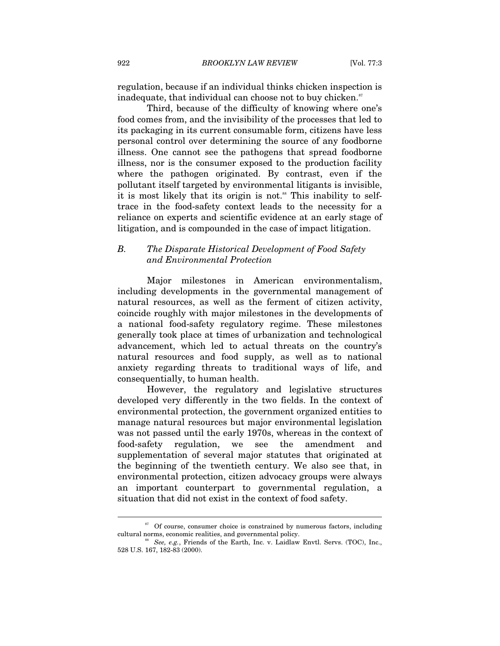regulation, because if an individual thinks chicken inspection is inadequate, that individual can choose not to buy chicken. $\mathbf{S}^{\text{r}}$ 

Third, because of the difficulty of knowing where one's food comes from, and the invisibility of the processes that led to its packaging in its current consumable form, citizens have less personal control over determining the source of any foodborne illness. One cannot see the pathogens that spread foodborne illness, nor is the consumer exposed to the production facility where the pathogen originated. By contrast, even if the pollutant itself targeted by environmental litigants is invisible, it is most likely that its origin is not.<sup>88</sup> This inability to selftrace in the food-safety context leads to the necessity for a reliance on experts and scientific evidence at an early stage of litigation, and is compounded in the case of impact litigation.

# *B. The Disparate Historical Development of Food Safety and Environmental Protection*

Major milestones in American environmentalism, including developments in the governmental management of natural resources, as well as the ferment of citizen activity, coincide roughly with major milestones in the developments of a national food-safety regulatory regime. These milestones generally took place at times of urbanization and technological advancement, which led to actual threats on the country's natural resources and food supply, as well as to national anxiety regarding threats to traditional ways of life, and consequentially, to human health.

However, the regulatory and legislative structures developed very differently in the two fields. In the context of environmental protection, the government organized entities to manage natural resources but major environmental legislation was not passed until the early 1970s, whereas in the context of food-safety regulation, we see the amendment and supplementation of several major statutes that originated at the beginning of the twentieth century. We also see that, in environmental protection, citizen advocacy groups were always an important counterpart to governmental regulation, a situation that did not exist in the context of food safety.

 $87$  Of course, consumer choice is constrained by numerous factors, including cultural norms, economic realities, and governmental policy.<br><sup>88</sup> See, e.g., Friends of the Earth, Inc. v. Laidlaw Envtl. Servs. (TOC), Inc.,

<sup>528</sup> U.S. 167, 182-83 (2000).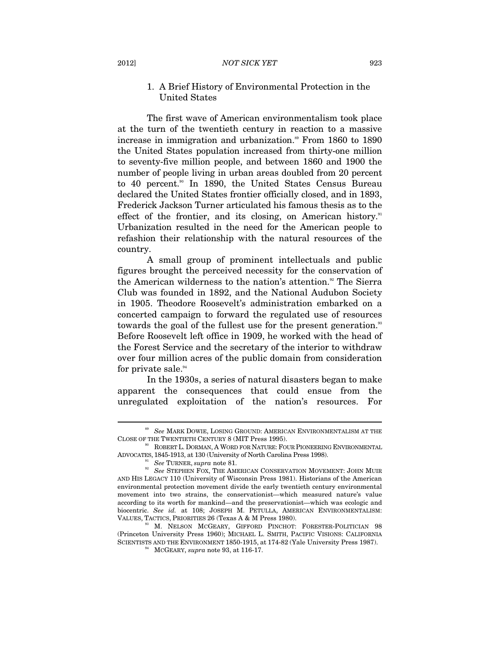# 1. A Brief History of Environmental Protection in the United States

The first wave of American environmentalism took place at the turn of the twentieth century in reaction to a massive increase in immigration and urbanization.<sup>89</sup> From 1860 to 1890 the United States population increased from thirty-one million to seventy-five million people, and between 1860 and 1900 the number of people living in urban areas doubled from 20 percent to 40 percent.<sup>90</sup> In 1890, the United States Census Bureau declared the United States frontier officially closed, and in 1893, Frederick Jackson Turner articulated his famous thesis as to the effect of the frontier, and its closing, on American history.<sup>91</sup> Urbanization resulted in the need for the American people to refashion their relationship with the natural resources of the country.

A small group of prominent intellectuals and public figures brought the perceived necessity for the conservation of the American wilderness to the nation's attention.<sup>92</sup> The Sierra Club was founded in 1892, and the National Audubon Society in 1905. Theodore Roosevelt's administration embarked on a concerted campaign to forward the regulated use of resources towards the goal of the fullest use for the present generation.<sup>33</sup> Before Roosevelt left office in 1909, he worked with the head of the Forest Service and the secretary of the interior to withdraw over four million acres of the public domain from consideration for private sale.<sup>94</sup>

In the 1930s, a series of natural disasters began to make apparent the consequences that could ensue from the unregulated exploitation of the nation's resources. For

<sup>89</sup> *See* MARK DOWIE, LOSING GROUND: AMERICAN ENVIRONMENTALISM AT THE CLOSE OF THE TWENTIETH CENTURY 8 (MIT Press 1995).<br><sup>90</sup> ROBERT L. DORMAN, A WORD FOR NATURE: FOUR PIONEERING ENVIRONMENTAL

ADVOCATES, 1845-1913, at 130 (University of North Carolina Press 1998). <br><sup>91</sup> *See* TURNER, *supra* note 81. <sup>92</sup> *See* STEPHEN FOX, THE AMERICAN CONSERVATION MOVEMENT: JOHN MUIR

AND HIS LEGACY 110 (University of Wisconsin Press 1981). Historians of the American environmental protection movement divide the early twentieth century environmental movement into two strains, the conservationist—which measured nature's value according to its worth for mankind—and the preservationist—which was ecologic and biocentric. *See id.* at 108; JOSEPH M. PETULLA, AMERICAN ENVIRONMENTALISM: VALUES, TACTICS, PRIORITIES 26 (Texas A & M Press 1980).<br><sup>93</sup> M. NELSON MCGEARY, GIFFORD PINCHOT: FORESTER-POLITICIAN 98

<sup>(</sup>Princeton University Press 1960); MICHAEL L. SMITH, PACIFIC VISIONS: CALIFORNIA SCIENTISTS AND THE ENVIRONMENT 1850-1915, at 174-82 (Yale University Press 1987). MCGEARY, *supra* note 93, at 116-17.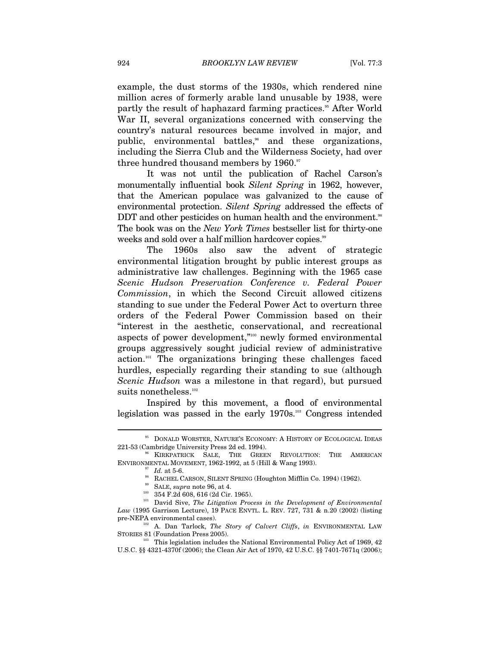example, the dust storms of the 1930s, which rendered nine million acres of formerly arable land unusable by 1938, were partly the result of haphazard farming practices.<sup>55</sup> After World War II, several organizations concerned with conserving the country's natural resources became involved in major, and public, environmental battles,<sup>96</sup> and these organizations, including the Sierra Club and the Wilderness Society, had over three hundred thousand members by 1960.<sup>97</sup>

It was not until the publication of Rachel Carson's monumentally influential book *Silent Spring* in 1962, however, that the American populace was galvanized to the cause of environmental protection. *Silent Spring* addressed the effects of DDT and other pesticides on human health and the environment.<sup>38</sup> The book was on the *New York Times* bestseller list for thirty-one weeks and sold over a half million hardcover copies.<sup>99</sup>

The 1960s also saw the advent of strategic environmental litigation brought by public interest groups as administrative law challenges. Beginning with the 1965 case *Scenic Hudson Preservation Conference v. Federal Power Commission*, in which the Second Circuit allowed citizens standing to sue under the Federal Power Act to overturn three orders of the Federal Power Commission based on their "interest in the aesthetic, conservational, and recreational aspects of power development,"100 newly formed environmental groups aggressively sought judicial review of administrative action.101 The organizations bringing these challenges faced hurdles, especially regarding their standing to sue (although *Scenic Hudson* was a milestone in that regard), but pursued suits nonetheless.<sup>102</sup>

Inspired by this movement, a flood of environmental legislation was passed in the early 1970s.103 Congress intended

 $^{95}$  DONALD WORSTER, NATURE'S ECONOMY: A HISTORY OF ECOLOGICAL IDEAS 221-53 (Cambridge University Press 2d ed. 1994).<br><sup>96</sup> KIRKPATRICK SALE, THE GREEN REVOLUTION: THE AMERICAN

ENVIRONMENTAL MOVEMENT, 1962-1992, at 5 (Hill & Wang 1993).<br>
<sup>97</sup> Id. at 5-6.<br>
<sup>98</sup> RACHEL CARSON, SILENT SPRING (Houghton Mifflin Co. 1994) (1962).<br>
<sup>99</sup> SALE, *supra* note 96, at 4.<br>
<sup>99</sup> SALE, *supra* note 96, at 4.<br>
<sup></sup>

*Law* (1995 Garrison Lecture), 19 PACE ENVTL. L. REV. 727, 731 & n.20 (2002) (listing pre-NEPA environmental cases). 102 A. Dan Tarlock, *The Story of Calvert Cliffs*, *in* ENVIRONMENTAL LAW

STORIES 81 (Foundation Press 2005).<br><sup>103</sup> This legislation includes the National Environmental Policy Act of 1969, 42

U.S.C. §§ 4321-4370f (2006); the Clean Air Act of 1970, 42 U.S.C. §§ 7401-7671q (2006);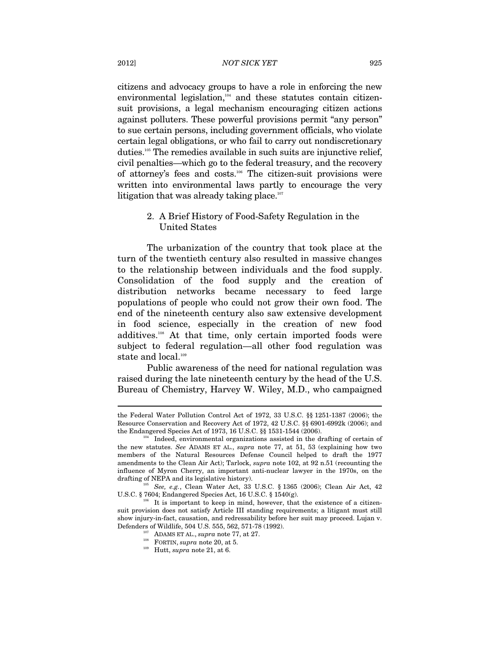citizens and advocacy groups to have a role in enforcing the new environmental legislation, $104$  and these statutes contain citizensuit provisions, a legal mechanism encouraging citizen actions against polluters. These powerful provisions permit "any person" to sue certain persons, including government officials, who violate certain legal obligations, or who fail to carry out nondiscretionary duties.105 The remedies available in such suits are injunctive relief, civil penalties—which go to the federal treasury, and the recovery of attorney's fees and costs.106 The citizen-suit provisions were written into environmental laws partly to encourage the very litigation that was already taking place. $107$ 

# 2. A Brief History of Food-Safety Regulation in the United States

The urbanization of the country that took place at the turn of the twentieth century also resulted in massive changes to the relationship between individuals and the food supply. Consolidation of the food supply and the creation of distribution networks became necessary to feed large populations of people who could not grow their own food. The end of the nineteenth century also saw extensive development in food science, especially in the creation of new food additives.108 At that time, only certain imported foods were subject to federal regulation—all other food regulation was state and local. $^{109}$ 

Public awareness of the need for national regulation was raised during the late nineteenth century by the head of the U.S. Bureau of Chemistry, Harvey W. Wiley, M.D., who campaigned

the Federal Water Pollution Control Act of 1972, 33 U.S.C. §§ 1251-1387 (2006); the Resource Conservation and Recovery Act of 1972, 42 U.S.C. §§ 6901-6992k (2006); and the Endangered Species Act of 1973, 16 U.S.C. §§ 1531-1544 (2006).<br><sup>104</sup> Indeed, environmental organizations assisted in the drafting of certain of

the new statutes. *See* ADAMS ET AL., *supra* note 77, at 51, 53 (explaining how two members of the Natural Resources Defense Council helped to draft the 1977 amendments to the Clean Air Act); Tarlock, *supra* note 102, at 92 n.51 (recounting the influence of Myron Cherry, an important anti-nuclear lawyer in the 1970s, on the

drafting of NEPA and its legislative history).<br><sup>105</sup> *See, e.g.*, Clean Water Act, 33 U.S.C. § 1365 (2006); Clean Air Act, 42<br>U.S.C. § 7604; Endangered Species Act, 16 U.S.C. § 1540(g).

 $106$  It is important to keep in mind, however, that the existence of a citizensuit provision does not satisfy Article III standing requirements; a litigant must still show injury-in-fact, causation, and redressability before her suit may proceed. Lujan v.

<sup>&</sup>lt;sup>107</sup> ADAMS ET AL., *supra* note 77, at 27.<br><sup>108</sup> FORTIN, *supra* note 20, at 5.<br><sup>109</sup> Hutt, *supra* note 21, at 6.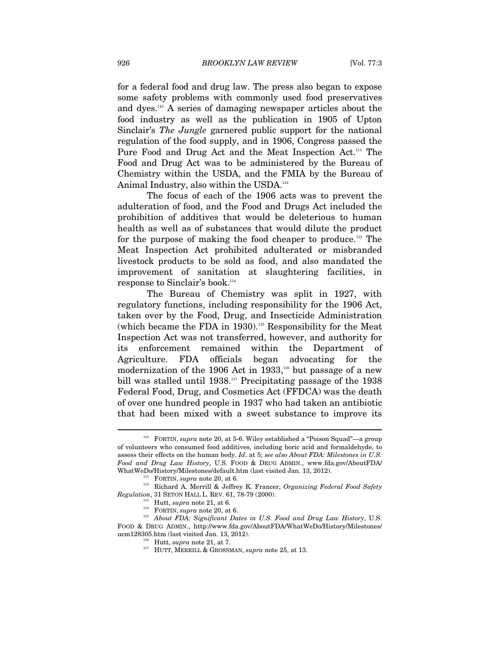for a federal food and drug law. The press also began to expose some safety problems with commonly used food preservatives and dyes.110 A series of damaging newspaper articles about the food industry as well as the publication in 1905 of Upton Sinclair's *The Jungle* garnered public support for the national regulation of the food supply, and in 1906, Congress passed the Pure Food and Drug Act and the Meat Inspection Act.<sup>111</sup> The Food and Drug Act was to be administered by the Bureau of Chemistry within the USDA, and the FMIA by the Bureau of Animal Industry, also within the USDA.<sup>112</sup>

The focus of each of the 1906 acts was to prevent the adulteration of food, and the Food and Drugs Act included the prohibition of additives that would be deleterious to human health as well as of substances that would dilute the product for the purpose of making the food cheaper to produce.<sup>113</sup> The Meat Inspection Act prohibited adulterated or misbranded livestock products to be sold as food, and also mandated the improvement of sanitation at slaughtering facilities, in response to Sinclair's book.<sup>114</sup>

The Bureau of Chemistry was split in 1927, with regulatory functions, including responsibility for the 1906 Act, taken over by the Food, Drug, and Insecticide Administration (which became the FDA in 1930).<sup>115</sup> Responsibility for the Meat Inspection Act was not transferred, however, and authority for its enforcement remained within the Department of Agriculture. FDA officials began advocating for the modernization of the 1906 Act in 1933, $116$  but passage of a new bill was stalled until 1938.<sup>117</sup> Precipitating passage of the 1938 Federal Food, Drug, and Cosmetics Act (FFDCA) was the death of over one hundred people in 1937 who had taken an antibiotic that had been mixed with a sweet substance to improve its

<sup>&</sup>lt;sup>110</sup> FORTIN, *supra* note 20, at 5-6. Wiley established a "Poison Squad"—a group of volunteers who consumed food additives, including boric acid and formaldehyde, to assess their effects on the human body. *Id*. at 5; *see also About FDA: Milestones in U.S. Food and Drug Law History*, U.S. FOOD & DRUG ADMIN., www.fda.gov/AboutFDA/

WhatWeDo/History/Milestones/default.htm (last visited Jan. 13, 2012).<br>
<sup>111</sup> FORTIN, *supra* note 20, at 6.<br>
<sup>112</sup> Richard A. Merrill & Jeffrey K. Francer, *Organizing Federal Food Safety Regulation*, 31 SETON HALL L. RE

<sup>&</sup>lt;sup>113</sup> Hutt, *supra* note 21, at 6.<br><sup>114</sup> FORTIN, *supra* note 20, at 6. 115 *U.S. Food and Drug Law History*, U.S. 115 *About FDA: Significant Dates in U.S. Food and Drug Law History*, U.S. FOOD & DRUG ADMIN., http://www.fda.gov/AboutFDA/WhatWeDo/History/Milestones/<br>ucm128305.htm (last visited Jan. 13, 2012).

<sup>&</sup>lt;sup>116</sup> Hutt, *supra* note 21, at 7.<br><sup>117</sup> HUTT, MERRILL & GROSSMAN, *supra* note 25, at 13.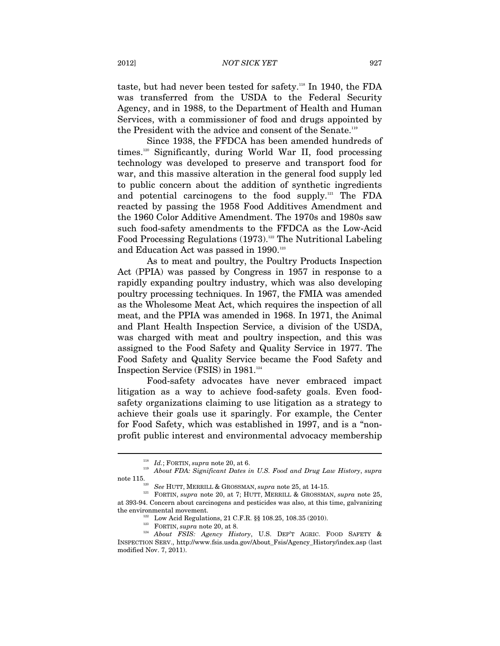taste, but had never been tested for safety.118 In 1940, the FDA was transferred from the USDA to the Federal Security Agency, and in 1988, to the Department of Health and Human Services, with a commissioner of food and drugs appointed by the President with the advice and consent of the Senate.<sup>119</sup>

Since 1938, the FFDCA has been amended hundreds of times.120 Significantly, during World War II, food processing technology was developed to preserve and transport food for war, and this massive alteration in the general food supply led to public concern about the addition of synthetic ingredients and potential carcinogens to the food supply.121 The FDA reacted by passing the 1958 Food Additives Amendment and the 1960 Color Additive Amendment. The 1970s and 1980s saw such food-safety amendments to the FFDCA as the Low-Acid Food Processing Regulations (1973).<sup>122</sup> The Nutritional Labeling and Education Act was passed in 1990.<sup>123</sup>

As to meat and poultry, the Poultry Products Inspection Act (PPIA) was passed by Congress in 1957 in response to a rapidly expanding poultry industry, which was also developing poultry processing techniques. In 1967, the FMIA was amended as the Wholesome Meat Act, which requires the inspection of all meat, and the PPIA was amended in 1968. In 1971, the Animal and Plant Health Inspection Service, a division of the USDA, was charged with meat and poultry inspection, and this was assigned to the Food Safety and Quality Service in 1977. The Food Safety and Quality Service became the Food Safety and Inspection Service (FSIS) in  $1981.^{^{124}}$ 

Food-safety advocates have never embraced impact litigation as a way to achieve food-safety goals. Even foodsafety organizations claiming to use litigation as a strategy to achieve their goals use it sparingly. For example, the Center for Food Safety, which was established in 1997, and is a "nonprofit public interest and environmental advocacy membership

<sup>118</sup> *Id.*; FORTIN, *supra* note 20, at 6. 119 *About FDA: Significant Dates in U.S. Food and Drug Law History*, *supra* 

note 115. 120 *See* HUTT, MERRILL & GROSSMAN, *supra* note 25, at 14-15. 121 FORTIN, *supra* note 20, at 7; HUTT, MERRILL & GROSSMAN, *supra* note 25, at 393-94. Concern about carcinogens and pesticides was also, at this time, galvanizing

the environmental movement.<br><sup>122</sup> Low Acid Regulations, 21 C.F.R. §§ 108.25, 108.35 (2010).<br><sup>123</sup> FORTIN, *supra* note 20, at 8.<br>*1*<sup>24</sup> About FSIS: Agency History, U.S. DEP'T AGRIC. FOOD SAFETY & INSPECTION SERV., http://www.fsis.usda.gov/About\_Fsis/Agency\_History/index.asp (last modified Nov. 7, 2011).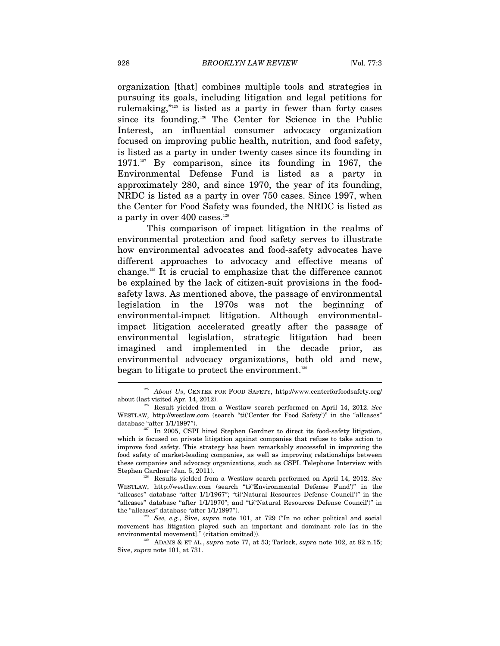organization [that] combines multiple tools and strategies in pursuing its goals, including litigation and legal petitions for rulemaking,"125 is listed as a party in fewer than forty cases since its founding.<sup>126</sup> The Center for Science in the Public Interest, an influential consumer advocacy organization focused on improving public health, nutrition, and food safety, is listed as a party in under twenty cases since its founding in 1971.<sup>127</sup> By comparison, since its founding in 1967, the Environmental Defense Fund is listed as a party in approximately 280, and since 1970, the year of its founding, NRDC is listed as a party in over 750 cases. Since 1997, when the Center for Food Safety was founded, the NRDC is listed as a party in over 400 cases.<sup>128</sup>

This comparison of impact litigation in the realms of environmental protection and food safety serves to illustrate how environmental advocates and food-safety advocates have different approaches to advocacy and effective means of change.129 It is crucial to emphasize that the difference cannot be explained by the lack of citizen-suit provisions in the foodsafety laws. As mentioned above, the passage of environmental legislation in the 1970s was not the beginning of environmental-impact litigation. Although environmentalimpact litigation accelerated greatly after the passage of environmental legislation, strategic litigation had been imagined and implemented in the decade prior, as environmental advocacy organizations, both old and new, began to litigate to protect the environment.<sup>130</sup>

<sup>125</sup> *About Us*, CENTER FOR FOOD SAFETY, http://www.centerforfoodsafety.org/ about (last visited Apr. 14, 2012). 126 Result yielded from a Westlaw search performed on April 14, 2012. *See* 

WESTLAW, http://westlaw.com (search "ti('Center for Food Safety')" in the "allcases" database "after 1/1/1997").<br><sup>127</sup> In 2005, CSPI hired Stephen Gardner to direct its food-safety litigation,

which is focused on private litigation against companies that refuse to take action to improve food safety. This strategy has been remarkably successful in improving the food safety of market-leading companies, as well as improving relationships between these companies and advocacy organizations, such as CSPI. Telephone Interview with Stephen Gardner (Jan. 5, 2011).<br><sup>128</sup> Results yielded from a Westlaw search performed on April 14, 2012. *See* 

WESTLAW, http://westlaw.com (search "ti('Environmental Defense Fund')" in the "allcases" database "after 1/1/1967"; "ti('Natural Resources Defense Council')" in the "allcases" database "after 1/1/1970"; and "ti('Natural Resources Defense Council')" in the "allcases" database "after 1/1/1997").<br><sup>129</sup> See, e.g., Sive, *supra* note 101, at 729 ("In no other political and social

movement has litigation played such an important and dominant role [as in the environmental movement]." (citation omitted)). 130 ADAMS & ET AL., *supra* note 77, at 53; Tarlock, *supra* note 102, at 82 n.15;

Sive, *supra* note 101, at 731.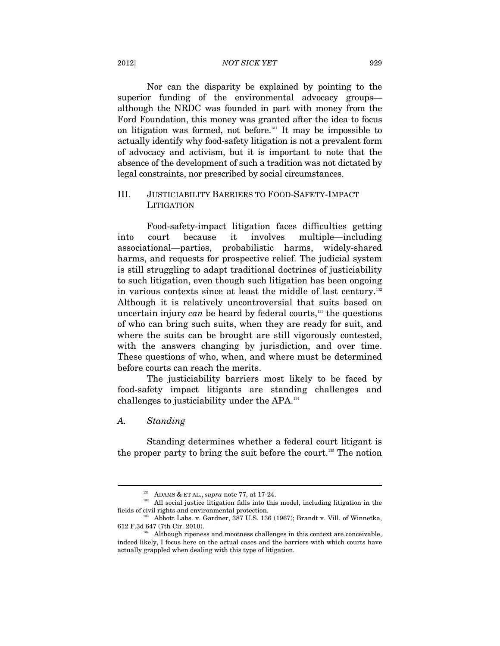# 2012] *NOT SICK YET* 929

Nor can the disparity be explained by pointing to the superior funding of the environmental advocacy groups although the NRDC was founded in part with money from the Ford Foundation, this money was granted after the idea to focus on litigation was formed, not before.131 It may be impossible to actually identify why food-safety litigation is not a prevalent form of advocacy and activism, but it is important to note that the absence of the development of such a tradition was not dictated by legal constraints, nor prescribed by social circumstances.

# III. JUSTICIABILITY BARRIERS TO FOOD-SAFETY-IMPACT **LITIGATION**

Food-safety-impact litigation faces difficulties getting into court because it involves multiple—including associational—parties, probabilistic harms, widely-shared harms, and requests for prospective relief. The judicial system is still struggling to adapt traditional doctrines of justiciability to such litigation, even though such litigation has been ongoing in various contexts since at least the middle of last century.<sup>132</sup> Although it is relatively uncontroversial that suits based on uncertain injury *can* be heard by federal courts,<sup>133</sup> the questions of who can bring such suits, when they are ready for suit, and where the suits can be brought are still vigorously contested, with the answers changing by jurisdiction, and over time. These questions of who, when, and where must be determined before courts can reach the merits.

The justiciability barriers most likely to be faced by food-safety impact litigants are standing challenges and challenges to justiciability under the APA.134

# *A. Standing*

 $\overline{a}$ 

Standing determines whether a federal court litigant is the proper party to bring the suit before the court.<sup>135</sup> The notion

<sup>&</sup>lt;sup>131</sup> ADAMS & ET AL., *supra* note 77, at 17-24.<br><sup>132</sup> All social justice litigation falls into this model, including litigation in the fields of civil rights and environmental protection. 133 Abbott Labs. v. Gardner, 387 U.S. 136 (1967); Brandt v. Vill. of Winnetka,

<sup>612</sup> F.3d 647 (7th Cir. 2010). 134 Although ripeness and mootness challenges in this context are conceivable,

indeed likely, I focus here on the actual cases and the barriers with which courts have actually grappled when dealing with this type of litigation.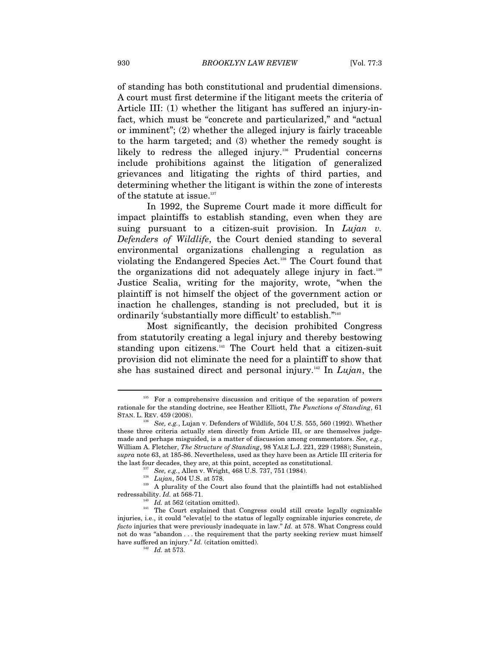of standing has both constitutional and prudential dimensions. A court must first determine if the litigant meets the criteria of Article III: (1) whether the litigant has suffered an injury-infact, which must be "concrete and particularized," and "actual or imminent"; (2) whether the alleged injury is fairly traceable to the harm targeted; and (3) whether the remedy sought is likely to redress the alleged injury.<sup>136</sup> Prudential concerns include prohibitions against the litigation of generalized grievances and litigating the rights of third parties, and determining whether the litigant is within the zone of interests of the statute at issue.<sup>137</sup>

In 1992, the Supreme Court made it more difficult for impact plaintiffs to establish standing, even when they are suing pursuant to a citizen-suit provision. In *Lujan v. Defenders of Wildlife*, the Court denied standing to several environmental organizations challenging a regulation as violating the Endangered Species Act.138 The Court found that the organizations did not adequately allege injury in fact.139 Justice Scalia, writing for the majority, wrote, "when the plaintiff is not himself the object of the government action or inaction he challenges, standing is not precluded, but it is ordinarily 'substantially more difficult' to establish."140

Most significantly, the decision prohibited Congress from statutorily creating a legal injury and thereby bestowing standing upon citizens.141 The Court held that a citizen-suit provision did not eliminate the need for a plaintiff to show that she has sustained direct and personal injury.142 In *Lujan*, the

For a comprehensive discussion and critique of the separation of powers rationale for the standing doctrine, see Heather Elliott, *The Functions of Standing*, 61 STAN. L. REV. 459 (2008).

See, e.g., Lujan v. Defenders of Wildlife, 504 U.S. 555, 560 (1992). Whether these three criteria actually stem directly from Article III, or are themselves judgemade and perhaps misguided, is a matter of discussion among commentators. *See, e.g.*, William A. Fletcher, *The Structure of Standing*, 98 YALE L.J. 221, 229 (1988); Sunstein, *supra* note 63, at 185-86. Nevertheless, used as they have been as Article III criteria for

the last four decades, they are, at this point, accepted as constitutional.<br>
<sup>137</sup> See, e.g., Allen v. Wright, 468 U.S. 737, 751 (1984).<br>
<sup>138</sup> Lujan, 504 U.S. at 578.<br>
<sup>139</sup> A plurality of the Court also found that the p

<sup>&</sup>lt;sup>140</sup>  $\dot{I}d$ . at 562 (citation omitted). <sup>141</sup> The Court explained that Congress could still create legally cognizable injuries, i.e., it could "elevat[e] to the status of legally cognizable injuries concrete, *de facto* injuries that were previously inadequate in law." *Id.* at 578. What Congress could not do was "abandon . . . the requirement that the party seeking review must himself have suffered an injury."  $Id$ . (citation omitted).<br><sup>142</sup>  $Id$ . at 573.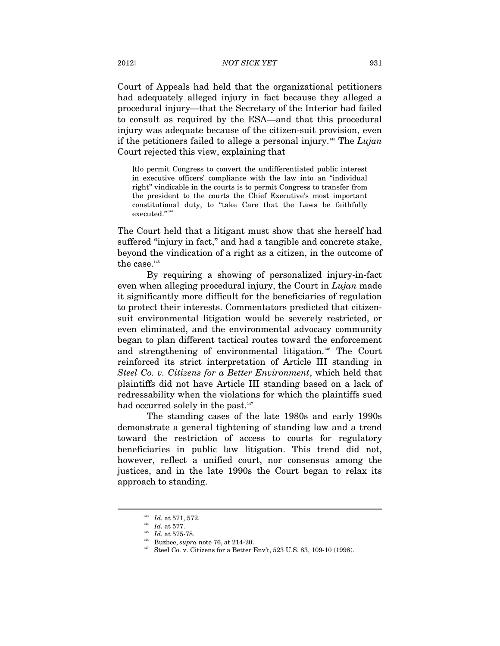Court of Appeals had held that the organizational petitioners had adequately alleged injury in fact because they alleged a procedural injury—that the Secretary of the Interior had failed to consult as required by the ESA—and that this procedural injury was adequate because of the citizen-suit provision, even if the petitioners failed to allege a personal injury.143 The *Lujan*  Court rejected this view, explaining that

[t]o permit Congress to convert the undifferentiated public interest in executive officers' compliance with the law into an "individual right" vindicable in the courts is to permit Congress to transfer from the president to the courts the Chief Executive's most important constitutional duty, to "take Care that the Laws be faithfully executed."144

The Court held that a litigant must show that she herself had suffered "injury in fact," and had a tangible and concrete stake, beyond the vindication of a right as a citizen, in the outcome of the case. $^{\scriptscriptstyle 145}$ 

By requiring a showing of personalized injury-in-fact even when alleging procedural injury, the Court in *Lujan* made it significantly more difficult for the beneficiaries of regulation to protect their interests. Commentators predicted that citizensuit environmental litigation would be severely restricted, or even eliminated, and the environmental advocacy community began to plan different tactical routes toward the enforcement and strengthening of environmental litigation.<sup>146</sup> The Court reinforced its strict interpretation of Article III standing in *Steel Co. v. Citizens for a Better Environment*, which held that plaintiffs did not have Article III standing based on a lack of redressability when the violations for which the plaintiffs sued had occurred solely in the past.<sup>147</sup>

The standing cases of the late 1980s and early 1990s demonstrate a general tightening of standing law and a trend toward the restriction of access to courts for regulatory beneficiaries in public law litigation. This trend did not, however, reflect a unified court, nor consensus among the justices, and in the late 1990s the Court began to relax its approach to standing.

<sup>&</sup>lt;sup>143</sup> *Id.* at 571, 572.<br><sup>145</sup> *Id.* at 575-78.<br><sup>146</sup> Buzbee, *supra* note 76, at 214-20.<br><sup>147</sup> Steel Co. v. Citizens for a Better Env't, 523 U.S. 83, 109-10 (1998).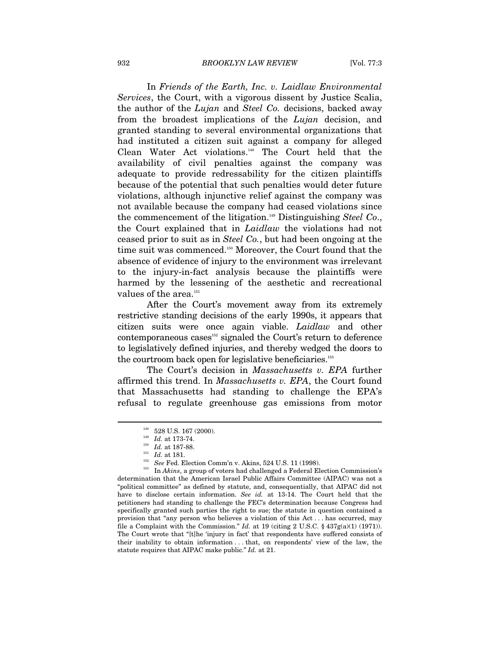In *Friends of the Earth, Inc. v. Laidlaw Environmental Services*, the Court, with a vigorous dissent by Justice Scalia, the author of the *Lujan* and *Steel Co.* decisions, backed away from the broadest implications of the *Lujan* decision, and granted standing to several environmental organizations that had instituted a citizen suit against a company for alleged Clean Water Act violations.148 The Court held that the availability of civil penalties against the company was adequate to provide redressability for the citizen plaintiffs because of the potential that such penalties would deter future violations, although injunctive relief against the company was not available because the company had ceased violations since the commencement of the litigation.149 Distinguishing *Steel Co*., the Court explained that in *Laidlaw* the violations had not ceased prior to suit as in *Steel Co.*, but had been ongoing at the time suit was commenced.150 Moreover, the Court found that the absence of evidence of injury to the environment was irrelevant to the injury-in-fact analysis because the plaintiffs were harmed by the lessening of the aesthetic and recreational values of the area. $^{151}$ 

After the Court's movement away from its extremely restrictive standing decisions of the early 1990s, it appears that citizen suits were once again viable. *Laidlaw* and other  $contemporaneous cases<sup>152</sup> signaled the Court's return to deference$ to legislatively defined injuries, and thereby wedged the doors to the courtroom back open for legislative beneficiaries.<sup>153</sup>

The Court's decision in *Massachusetts v. EPA* further affirmed this trend. In *Massachusetts v. EPA*, the Court found that Massachusetts had standing to challenge the EPA's refusal to regulate greenhouse gas emissions from motor

<sup>&</sup>lt;sup>148</sup> 528 U.S. 167 (2000).<br><sup>149</sup> *Id.* at 173-74.<br><sup>150</sup> *Id.* at 187-88.<br><sup>151</sup> *Id.* at 181.<br><sup>152</sup> *See* Fed. Election Comm'n v. Akins, 524 U.S. 11 (1998).<br><sup>153</sup> In *Akins*, a group of voters had challenged a Federal Elec determination that the American Israel Public Affairs Committee (AIPAC) was not a "political committee" as defined by statute, and, consequentially, that AIPAC did not have to disclose certain information. *See id.* at 13-14. The Court held that the petitioners had standing to challenge the FEC's determination because Congress had specifically granted such parties the right to sue; the statute in question contained a provision that "any person who believes a violation of this Act . . . has occurred, may file a Complaint with the Commission." *Id.* at 19 (citing 2 U.S.C. §  $437g(a)(1)$  (1971)). The Court wrote that "[t]he 'injury in fact' that respondents have suffered consists of their inability to obtain information . . . that, on respondents' view of the law, the statute requires that AIPAC make public." *Id.* at 21.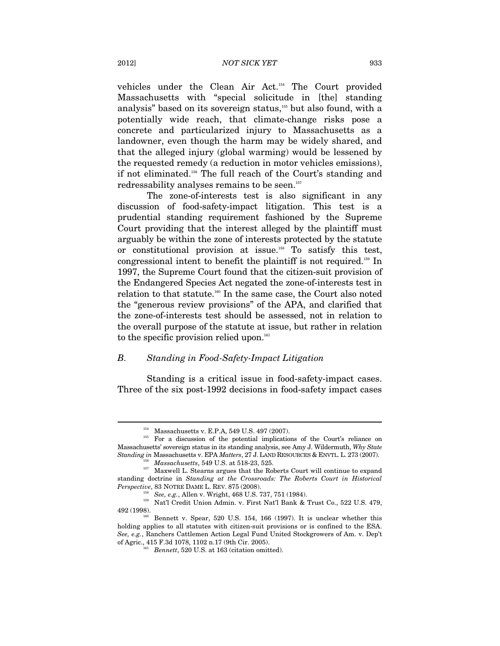vehicles under the Clean Air Act.154 The Court provided Massachusetts with "special solicitude in [the] standing analysis" based on its sovereign status,<sup>155</sup> but also found, with a potentially wide reach, that climate-change risks pose a concrete and particularized injury to Massachusetts as a landowner, even though the harm may be widely shared, and that the alleged injury (global warming) would be lessened by the requested remedy (a reduction in motor vehicles emissions), if not eliminated.156 The full reach of the Court's standing and redressability analyses remains to be seen.<sup>157</sup>

The zone-of-interests test is also significant in any discussion of food-safety-impact litigation. This test is a prudential standing requirement fashioned by the Supreme Court providing that the interest alleged by the plaintiff must arguably be within the zone of interests protected by the statute or constitutional provision at issue.158 To satisfy this test, congressional intent to benefit the plaintiff is not required.159 In 1997, the Supreme Court found that the citizen-suit provision of the Endangered Species Act negated the zone-of-interests test in relation to that statute.160 In the same case, the Court also noted the "generous review provisions" of the APA, and clarified that the zone-of-interests test should be assessed, not in relation to the overall purpose of the statute at issue, but rather in relation to the specific provision relied upon. $161$ 

#### *B. Standing in Food-Safety-Impact Litigation*

Standing is a critical issue in food-safety-impact cases. Three of the six post-1992 decisions in food-safety impact cases

<sup>&</sup>lt;sup>154</sup> Massachusetts v. E.P.A, 549 U.S. 497 (2007).<br><sup>155</sup> For a discussion of the potential implications of the Court's reliance on Massachusetts' sovereign status in its standing analysis, see Amy J. Wildermuth, *Why State*   $\label{thm:standing} \begin{array}{ll} \textit{Standarding in Massachusetts} \text{~v. EPA}\ \textit{Matters}, 27 \text{~J.} \text{ LAND RESOURCES} \ \& \text{ENVTL.}\ \text{L.}\ 273 \ (2007).\\ \textit{Massachusetts}, 549 \ \text{U.S.}\ \text{at}\ 518\text{-}23, 525.\\ \textit{157} \quad \text{Maxwell}\ \text{L.} \text{Stearns argues that the Roberts Court will continue to expand} \end{array}$ 

standing doctrine in *Standing at the Crossroads: The Roberts Court in Historical Perspective*, 83 NOTRE DAME L. REV. 875 (2008). <br><sup>158</sup> See, e.g., Allen v. Wright, 468 U.S. 737, 751 (1984). <br><sup>159</sup> Nat'l Credit Union Admin. v. First Nat'l Bank & Trust Co., 522 U.S. 479,

<sup>492 (1998).&</sup>lt;br><sup>160</sup> Bennett v. Spear, 520 U.S. 154, 166 (1997). It is unclear whether this

holding applies to all statutes with citizen-suit provisions or is confined to the ESA. *See, e.g.*, Ranchers Cattlemen Action Legal Fund United Stockgrowers of Am. v. Dep't of Agric., 415 F.3d 1078, 1102 n.17 (9th Cir. 2005). 161 *Bennett*, 520 U.S. at 163 (citation omitted).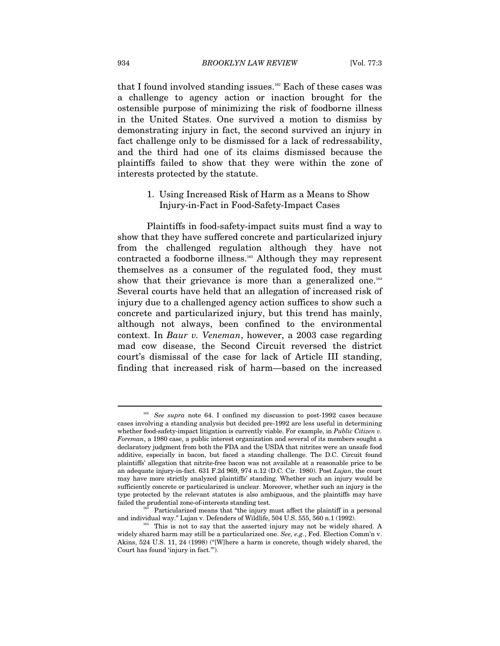that I found involved standing issues.<sup>162</sup> Each of these cases was a challenge to agency action or inaction brought for the ostensible purpose of minimizing the risk of foodborne illness in the United States. One survived a motion to dismiss by demonstrating injury in fact, the second survived an injury in fact challenge only to be dismissed for a lack of redressability, and the third had one of its claims dismissed because the plaintiffs failed to show that they were within the zone of interests protected by the statute.

# 1. Using Increased Risk of Harm as a Means to Show Injury-in-Fact in Food-Safety-Impact Cases

Plaintiffs in food-safety-impact suits must find a way to show that they have suffered concrete and particularized injury from the challenged regulation although they have not contracted a foodborne illness.<sup>163</sup> Although they may represent themselves as a consumer of the regulated food, they must show that their grievance is more than a generalized one.<sup>164</sup> Several courts have held that an allegation of increased risk of injury due to a challenged agency action suffices to show such a concrete and particularized injury, but this trend has mainly, although not always, been confined to the environmental context. In *Baur v. Veneman*, however, a 2003 case regarding mad cow disease, the Second Circuit reversed the district court's dismissal of the case for lack of Article III standing, finding that increased risk of harm—based on the increased

See supra note 64. I confined my discussion to post-1992 cases because cases involving a standing analysis but decided pre-1992 are less useful in determining whether food-safety-impact litigation is currently viable. For example, in *Public Citizen v. Foreman*, a 1980 case, a public interest organization and several of its members sought a declaratory judgment from both the FDA and the USDA that nitrites were an unsafe food additive, especially in bacon, but faced a standing challenge. The D.C. Circuit found plaintiffs' allegation that nitrite-free bacon was not available at a reasonable price to be an adequate injury-in-fact. 631 F.2d 969, 974 n.12 (D.C. Cir. 1980). Post *Lujan*, the court may have more strictly analyzed plaintiffs' standing. Whether such an injury would be sufficiently concrete or particularized is unclear. Moreover, whether such an injury is the type protected by the relevant statutes is also ambiguous, and the plaintiffs may have failed the prudential zone-of-interests standing test.

Particularized means that "the injury must affect the plaintiff in a personal and individual way." Lujan v. Defenders of Wildlife, 504 U.S. 555, 560 n.1 (1992).<br><sup>164</sup> This is not to say that the asserted injury may not be widely shared. A

widely shared harm may still be a particularized one. *See, e.g.*, Fed. Election Comm'n v. Akins, 524 U.S. 11, 24 (1998) ("[W]here a harm is concrete, though widely shared, the Court has found 'injury in fact.'").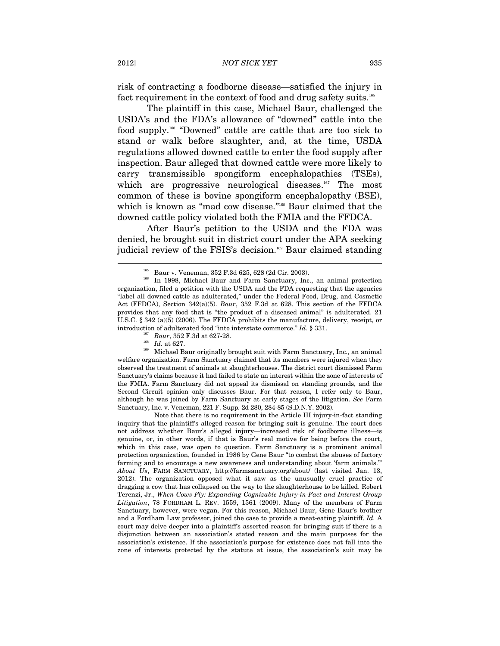risk of contracting a foodborne disease—satisfied the injury in fact requirement in the context of food and drug safety suits.<sup>165</sup>

The plaintiff in this case, Michael Baur, challenged the USDA's and the FDA's allowance of "downed" cattle into the food supply.166 "Downed" cattle are cattle that are too sick to stand or walk before slaughter, and, at the time, USDA regulations allowed downed cattle to enter the food supply after inspection. Baur alleged that downed cattle were more likely to carry transmissible spongiform encephalopathies (TSEs), which are progressive neurological diseases.<sup>167</sup> The most common of these is bovine spongiform encephalopathy (BSE), which is known as "mad cow disease."<sup>168</sup> Baur claimed that the downed cattle policy violated both the FMIA and the FFDCA.

After Baur's petition to the USDA and the FDA was denied, he brought suit in district court under the APA seeking judicial review of the FSIS's decision.<sup>169</sup> Baur claimed standing

introduction of adulterated food "into interstate commerce." *Id.* § 331.<br><sup>167</sup> Baur, 352 F.3d at 627-28.<br><sup>168</sup> *Id.* at 627. Michael Baur originally brought suit with Farm Sanctuary, Inc., an animal welfare organization. Farm Sanctuary claimed that its members were injured when they observed the treatment of animals at slaughterhouses. The district court dismissed Farm Sanctuary's claims because it had failed to state an interest within the zone of interests of the FMIA. Farm Sanctuary did not appeal its dismissal on standing grounds, and the Second Circuit opinion only discusses Baur. For that reason, I refer only to Baur, although he was joined by Farm Sanctuary at early stages of the litigation. *See* Farm Sanctuary, Inc. v. Veneman, 221 F. Supp. 2d 280, 284-85 (S.D.N.Y. 2002).

 Note that there is no requirement in the Article III injury-in-fact standing inquiry that the plaintiff's alleged reason for bringing suit is genuine. The court does not address whether Baur's alleged injury—increased risk of foodborne illness—is genuine, or, in other words, if that is Baur's real motive for being before the court, which in this case, was open to question. Farm Sanctuary is a prominent animal protection organization, founded in 1986 by Gene Baur "to combat the abuses of factory farming and to encourage a new awareness and understanding about 'farm animals.'" *About Us*, FARM SANCTUARY, http://farmsanctuary.org/about/ (last visited Jan. 13, 2012). The organization opposed what it saw as the unusually cruel practice of dragging a cow that has collapsed on the way to the slaughterhouse to be killed. Robert Terenzi, Jr., *When Cows Fly: Expanding Cognizable Injury-in-Fact and Interest Group Litigation*, 78 FORDHAM L. REV. 1559, 1561 (2009). Many of the members of Farm Sanctuary, however, were vegan. For this reason, Michael Baur, Gene Baur's brother and a Fordham Law professor, joined the case to provide a meat-eating plaintiff. *Id.* A court may delve deeper into a plaintiff's asserted reason for bringing suit if there is a disjunction between an association's stated reason and the main purposes for the association's existence. If the association's purpose for existence does not fall into the zone of interests protected by the statute at issue, the association's suit may be

<sup>&</sup>lt;sup>165</sup> Baur v. Veneman, 352 F.3d 625, 628 (2d Cir. 2003).<br><sup>166</sup> In 1998, Michael Baur and Farm Sanctuary, Inc., an animal protection organization, filed a petition with the USDA and the FDA requesting that the agencies "label all downed cattle as adulterated," under the Federal Food, Drug, and Cosmetic Act (FFDCA), Section 342(a)(5). *Baur*, 352 F.3d at 628. This section of the FFDCA provides that any food that is "the product of a diseased animal" is adulterated. 21 U.S.C. § 342 (a)(5) (2006). The FFDCA prohibits the manufacture, delivery, receipt, or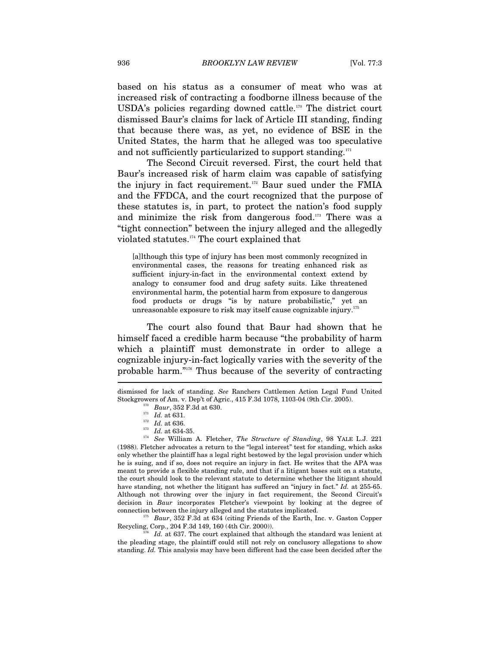based on his status as a consumer of meat who was at increased risk of contracting a foodborne illness because of the USDA's policies regarding downed cattle.170 The district court dismissed Baur's claims for lack of Article III standing, finding that because there was, as yet, no evidence of BSE in the United States, the harm that he alleged was too speculative and not sufficiently particularized to support standing.<sup>171</sup>

The Second Circuit reversed. First, the court held that Baur's increased risk of harm claim was capable of satisfying the injury in fact requirement.<sup>172</sup> Baur sued under the FMIA and the FFDCA, and the court recognized that the purpose of these statutes is, in part, to protect the nation's food supply and minimize the risk from dangerous food.173 There was a "tight connection" between the injury alleged and the allegedly violated statutes.174 The court explained that

[a]lthough this type of injury has been most commonly recognized in environmental cases, the reasons for treating enhanced risk as sufficient injury-in-fact in the environmental context extend by analogy to consumer food and drug safety suits. Like threatened environmental harm, the potential harm from exposure to dangerous food products or drugs "is by nature probabilistic," yet an unreasonable exposure to risk may itself cause cognizable injury.<sup>175</sup>

The court also found that Baur had shown that he himself faced a credible harm because "the probability of harm which a plaintiff must demonstrate in order to allege a cognizable injury-in-fact logically varies with the severity of the probable harm."176 Thus because of the severity of contracting

<sup>175</sup> Baur, 352 F.3d at 634 (citing Friends of the Earth, Inc. v. Gaston Copper Recycling, Corp., 204 F.3d 149, 160 (4th Cir. 2000)).

Id. at 637. The court explained that although the standard was lenient at the pleading stage, the plaintiff could still not rely on conclusory allegations to show standing. *Id.* This analysis may have been different had the case been decided after the

dismissed for lack of standing. *See* Ranchers Cattlemen Action Legal Fund United

Stockgrowers of Am. v. Dep't of Agric., 415 F.3d 1078, 1103-04 (9th Cir. 2005).<br>
<sup>170</sup> *Baur*, 352 F.3d at 630.<br>
<sup>171</sup> *Id.* at 631.<br>
<sup>172</sup> *Id.* at 636.<br>
<sup>173</sup> *Id.* at 634-35.<br>
<sup>174</sup> *See* William A. Fletcher, *The Stru* (1988). Fletcher advocates a return to the "legal interest" test for standing, which asks only whether the plaintiff has a legal right bestowed by the legal provision under which he is suing, and if so, does not require an injury in fact. He writes that the APA was meant to provide a flexible standing rule, and that if a litigant bases suit on a statute, the court should look to the relevant statute to determine whether the litigant should have standing, not whether the litigant has suffered an "injury in fact." *Id.* at 255-65. Although not throwing over the injury in fact requirement, the Second Circuit's decision in *Baur* incorporates Fletcher's viewpoint by looking at the degree of connection between the injury alleged and the statutes implicated.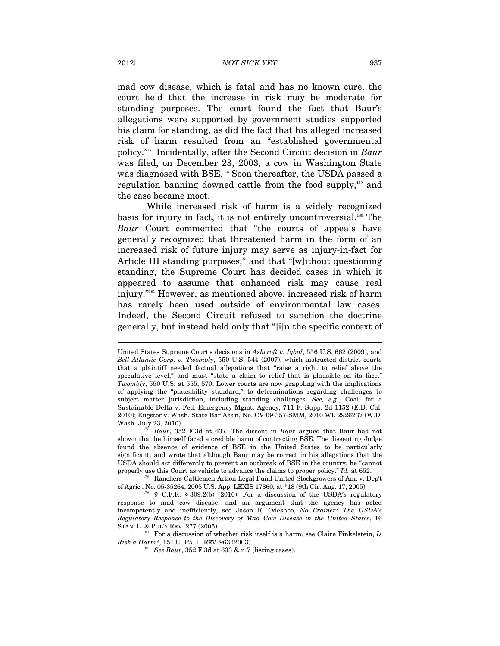mad cow disease, which is fatal and has no known cure, the court held that the increase in risk may be moderate for standing purposes. The court found the fact that Baur's allegations were supported by government studies supported his claim for standing, as did the fact that his alleged increased risk of harm resulted from an "established governmental policy."177 Incidentally, after the Second Circuit decision in *Baur* was filed, on December 23, 2003, a cow in Washington State was diagnosed with BSE.<sup>178</sup> Soon thereafter, the USDA passed a regulation banning downed cattle from the food supply, $179$  and the case became moot.

While increased risk of harm is a widely recognized basis for injury in fact, it is not entirely uncontroversial.<sup>180</sup> The *Baur* Court commented that "the courts of appeals have generally recognized that threatened harm in the form of an increased risk of future injury may serve as injury-in-fact for Article III standing purposes," and that "[w]ithout questioning standing, the Supreme Court has decided cases in which it appeared to assume that enhanced risk may cause real injury."181 However, as mentioned above, increased risk of harm has rarely been used outside of environmental law cases. Indeed, the Second Circuit refused to sanction the doctrine generally, but instead held only that "[i]n the specific context of

United States Supreme Court's decisions in *Ashcroft v. Iqbal*, 556 U.S. 662 (2009), and *Bell Atlantic Corp. v. Twombly*, 550 U.S. 544 (2007), which instructed district courts that a plaintiff needed factual allegations that "raise a right to relief above the speculative level," and must "state a claim to relief that is plausible on its face." *Twombly*, 550 U.S. at 555, 570. Lower courts are now grappling with the implications of applying the "plausibility standard," to determinations regarding challenges to subject matter jurisdiction, including standing challenges. *See, e.g.*, Coal. for a Sustainable Delta v. Fed. Emergency Mgmt. Agency, 711 F. Supp. 2d 1152 (E.D. Cal. 2010); Eugster v. Wash. State Bar Ass'n, No. CV 09-357-SMM, 2010 WL 2926237 (W.D. Wash. July 23, 2010). 177 *Baur*, 352 F.3d at 637. The dissent in *Baur* argued that Baur had not

shown that he himself faced a credible harm of contracting BSE. The dissenting Judge found the absence of evidence of BSE in the United States to be particularly significant, and wrote that although Baur may be correct in his allegations that the USDA should act differently to prevent an outbreak of BSE in the country, he "cannot

properly use this Court as vehicle to advance the claims to proper policy." *Id.* at 652.<br><sup>178</sup> Ranchers Cattlemen Action Legal Fund United Stockgrowers of Am. v. Dep't<br>of Agric., No. 05-35264, 2005 U.S. App. LEXIS 17360,

 $^{179}$  9 C.F.R. § 309.2(b) (2010). For a discussion of the USDA's regulatory response to mad cow disease, and an argument that the agency has acted incompetently and inefficiently, see Jason R. Odeshoo, *No Brainer? The USDA's Regulatory Response to the Discovery of Mad Cow Disease in the United States*, 16

<sup>&</sup>lt;sup>180</sup> For a discussion of whether risk itself is a harm, see Claire Finkelstein, *Is Risk a Harm*?, 151 U. PA. L. REV. 963 (2003).

<sup>&</sup>lt;sup>181</sup> *See Baur*, 352 F.3d at 633 & n.7 (listing cases).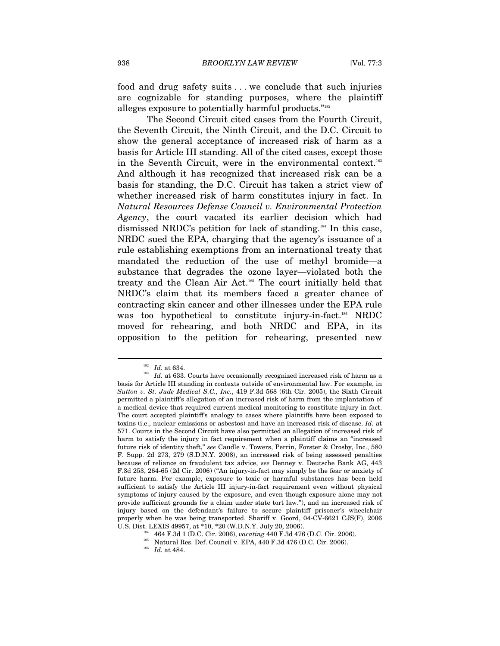food and drug safety suits ... we conclude that such injuries are cognizable for standing purposes, where the plaintiff alleges exposure to potentially harmful products."<sup>182</sup>

The Second Circuit cited cases from the Fourth Circuit, the Seventh Circuit, the Ninth Circuit, and the D.C. Circuit to show the general acceptance of increased risk of harm as a basis for Article III standing. All of the cited cases, except those in the Seventh Circuit, were in the environmental context.<sup>183</sup> And although it has recognized that increased risk can be a basis for standing, the D.C. Circuit has taken a strict view of whether increased risk of harm constitutes injury in fact. In *Natural Resources Defense Council v. Environmental Protection Agency*, the court vacated its earlier decision which had dismissed NRDC's petition for lack of standing.184 In this case, NRDC sued the EPA, charging that the agency's issuance of a rule establishing exemptions from an international treaty that mandated the reduction of the use of methyl bromide—a substance that degrades the ozone layer—violated both the treaty and the Clean Air Act.185 The court initially held that NRDC's claim that its members faced a greater chance of contracting skin cancer and other illnesses under the EPA rule was too hypothetical to constitute injury-in-fact.<sup>186</sup> NRDC moved for rehearing, and both NRDC and EPA, in its opposition to the petition for rehearing, presented new

 $182\;\;Id.$  at 634. <br><sup>183</sup> *Id.* at 633. Courts have occasionally recognized increased risk of harm as a basis for Article III standing in contexts outside of environmental law. For example, in *Sutton v. St. Jude Medical S.C., Inc.*, 419 F.3d 568 (6th Cir. 2005), the Sixth Circuit permitted a plaintiff's allegation of an increased risk of harm from the implantation of a medical device that required current medical monitoring to constitute injury in fact. The court accepted plaintiff's analogy to cases where plaintiffs have been exposed to toxins (i.e., nuclear emissions or asbestos) and have an increased risk of disease. *Id.* at 571. Courts in the Second Circuit have also permitted an allegation of increased risk of harm to satisfy the injury in fact requirement when a plaintiff claims an "increased future risk of identity theft," *see* Caudle v. Towers, Perrin, Forster & Crosby, Inc., 580 F. Supp. 2d 273, 279 (S.D.N.Y. 2008), an increased risk of being assessed penalties because of reliance on fraudulent tax advice, *see* Denney v. Deutsche Bank AG, 443 F.3d 253, 264-65 (2d Cir. 2006) ("An injury-in-fact may simply be the fear or anxiety of future harm. For example, exposure to toxic or harmful substances has been held sufficient to satisfy the Article III injury-in-fact requirement even without physical symptoms of injury caused by the exposure, and even though exposure alone may not provide sufficient grounds for a claim under state tort law."), and an increased risk of injury based on the defendant's failure to secure plaintiff prisoner's wheelchair properly when he was being transported. Shariff v. Goord, 04-CV-6621 CJS(F), 2006 U.S. Dist. LEXIS 49957, at  $*10, *20$  (W.D.N.Y. July 20, 2006).

<sup>&</sup>lt;sup>184</sup> 464 F.3d 1 (D.C. Cir. 2006), vacating 440 F.3d 476 (D.C. Cir. 2006).<br><sup>185</sup> Natural Res. Def. Council v. EPA, 440 F.3d 476 (D.C. Cir. 2006).<br><sup>186</sup> Id. at 484.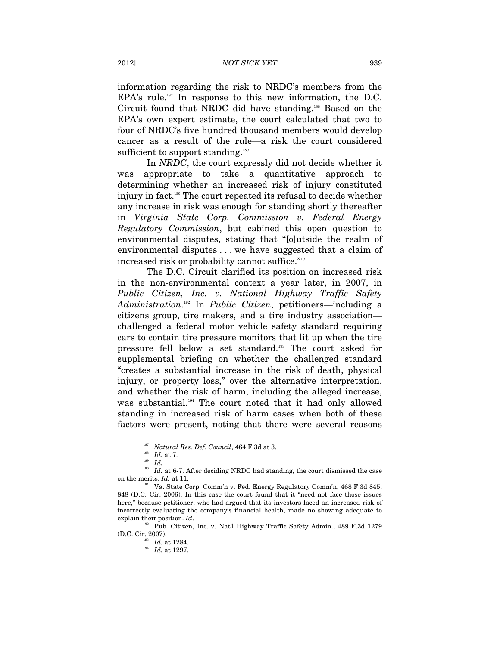information regarding the risk to NRDC's members from the EPA's rule.<sup>187</sup> In response to this new information, the D.C. Circuit found that NRDC did have standing.188 Based on the EPA's own expert estimate, the court calculated that two to four of NRDC's five hundred thousand members would develop cancer as a result of the rule—a risk the court considered sufficient to support standing.<sup>189</sup>

In *NRDC*, the court expressly did not decide whether it was appropriate to take a quantitative approach to determining whether an increased risk of injury constituted injury in fact.190 The court repeated its refusal to decide whether any increase in risk was enough for standing shortly thereafter in *Virginia State Corp. Commission v. Federal Energy Regulatory Commission*, but cabined this open question to environmental disputes, stating that "[o]utside the realm of environmental disputes . . . we have suggested that a claim of increased risk or probability cannot suffice."<sup>191</sup>

The D.C. Circuit clarified its position on increased risk in the non-environmental context a year later, in 2007, in *Public Citizen, Inc. v. National Highway Traffic Safety Administration*. 192 In *Public Citizen*, petitioners—including a citizens group, tire makers, and a tire industry association challenged a federal motor vehicle safety standard requiring cars to contain tire pressure monitors that lit up when the tire pressure fell below a set standard.193 The court asked for supplemental briefing on whether the challenged standard "creates a substantial increase in the risk of death, physical injury, or property loss," over the alternative interpretation, and whether the risk of harm, including the alleged increase, was substantial.<sup>194</sup> The court noted that it had only allowed standing in increased risk of harm cases when both of these factors were present, noting that there were several reasons

<sup>&</sup>lt;sup>187</sup> *Natural Res. Def. Council*, 464 F.3d at 3.<br><sup>188</sup> *Id.* at 7.<br>*<sup>189</sup> Id.* 

 $^{190}$   $\,Id.$  at 6-7. After deciding NRDC had standing, the court dismissed the case on the merits.  $Id.$  at 11.

<sup>&</sup>lt;sup>191</sup> Va. State Corp. Comm'n v. Fed. Energy Regulatory Comm'n, 468 F.3d 845, 848 (D.C. Cir. 2006). In this case the court found that it "need not face those issues here," because petitioner, who had argued that its investors faced an increased risk of incorrectly evaluating the company's financial health, made no showing adequate to

explain their position. *Id*. 192 Pub. Citizen, Inc. v. Nat'l Highway Traffic Safety Admin., 489 F.3d 1279 (D.C. Cir. 2007).

 $\frac{193}{194}$  *Id.* at 1284.<br> *Id.* at 1297.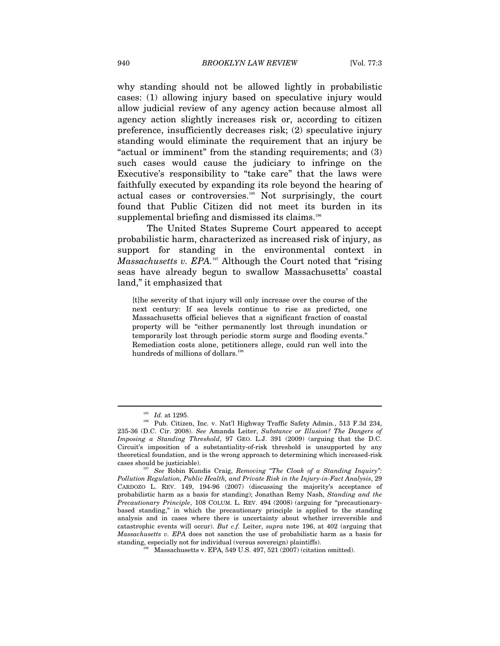why standing should not be allowed lightly in probabilistic cases: (1) allowing injury based on speculative injury would allow judicial review of any agency action because almost all agency action slightly increases risk or, according to citizen preference, insufficiently decreases risk; (2) speculative injury standing would eliminate the requirement that an injury be "actual or imminent" from the standing requirements; and (3) such cases would cause the judiciary to infringe on the Executive's responsibility to "take care" that the laws were faithfully executed by expanding its role beyond the hearing of actual cases or controversies.195 Not surprisingly, the court found that Public Citizen did not meet its burden in its supplemental briefing and dismissed its claims.<sup>196</sup>

The United States Supreme Court appeared to accept probabilistic harm, characterized as increased risk of injury, as support for standing in the environmental context in *Massachusetts v. EPA.*<sup>197</sup> Although the Court noted that "rising" seas have already begun to swallow Massachusetts' coastal land," it emphasized that

[t]he severity of that injury will only increase over the course of the next century: If sea levels continue to rise as predicted, one Massachusetts official believes that a significant fraction of coastal property will be "either permanently lost through inundation or temporarily lost through periodic storm surge and flooding events." Remediation costs alone, petitioners allege, could run well into the hundreds of millions of dollars.<sup>198</sup>

<sup>195</sup> *Id.* at 1295. 196 Pub. Citizen, Inc. v. Nat'l Highway Traffic Safety Admin*.*, 513 F.3d 234, 235-36 (D.C. Cir. 2008). *See* Amanda Leiter, *Substance or Illusion? The Dangers of Imposing a Standing Threshold*, 97 GEO. L.J. 391 (2009) (arguing that the D.C. Circuit's imposition of a substantiality-of-risk threshold is unsupported by any theoretical foundation, and is the wrong approach to determining which increased-risk

cases should be justiciable). 197 *See* Robin Kundis Craig, *Removing "The Cloak of a Standing Inquiry": Pollution Regulation, Public Health, and Private Risk in the Injury-in-Fact Analysis*, 29 CARDOZO L. REV. 149, 194-96 (2007) (discussing the majority's acceptance of probabilistic harm as a basis for standing); Jonathan Remy Nash, *Standing and the Precautionary Principle*, 108 COLUM. L. REV. 494 (2008) (arguing for "precautionarybased standing," in which the precautionary principle is applied to the standing analysis and in cases where there is uncertainty about whether irreversible and catastrophic events will occur). *But c.f.* Leiter, *supra* note 196, at 402 (arguing that *Massachusetts v. EPA* does not sanction the use of probabilistic harm as a basis for standing, especially not for individual (versus sovereign) plaintiffs).<br><sup>198</sup> Massachusetts v. EPA, 549 U.S. 497, 521 (2007) (citation omitted).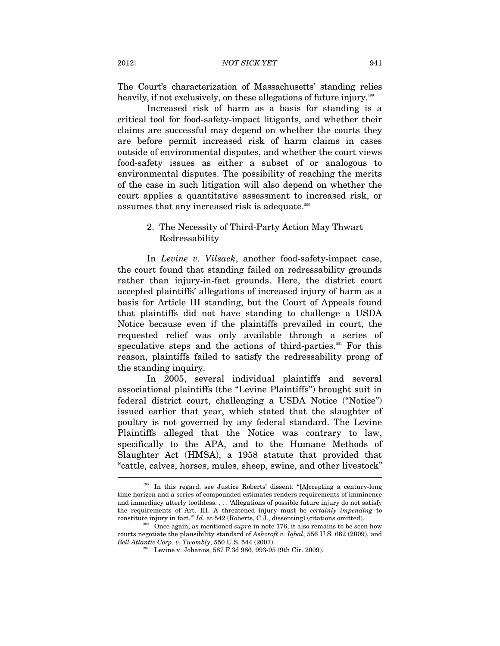The Court's characterization of Massachusetts' standing relies heavily, if not exclusively, on these allegations of future injury.<sup>199</sup>

Increased risk of harm as a basis for standing is a critical tool for food-safety-impact litigants, and whether their claims are successful may depend on whether the courts they are before permit increased risk of harm claims in cases outside of environmental disputes, and whether the court views food-safety issues as either a subset of or analogous to environmental disputes. The possibility of reaching the merits of the case in such litigation will also depend on whether the court applies a quantitative assessment to increased risk, or assumes that any increased risk is adequate.<sup>200</sup>

# 2. The Necessity of Third-Party Action May Thwart Redressability

In *Levine v. Vilsack*, another food-safety-impact case, the court found that standing failed on redressability grounds rather than injury-in-fact grounds. Here, the district court accepted plaintiffs' allegations of increased injury of harm as a basis for Article III standing, but the Court of Appeals found that plaintiffs did not have standing to challenge a USDA Notice because even if the plaintiffs prevailed in court, the requested relief was only available through a series of speculative steps and the actions of third-parties.<sup>201</sup> For this reason, plaintiffs failed to satisfy the redressability prong of the standing inquiry.

In 2005, several individual plaintiffs and several associational plaintiffs (the "Levine Plaintiffs") brought suit in federal district court, challenging a USDA Notice ("Notice") issued earlier that year, which stated that the slaughter of poultry is not governed by any federal standard. The Levine Plaintiffs alleged that the Notice was contrary to law, specifically to the APA, and to the Humane Methods of Slaughter Act (HMSA), a 1958 statute that provided that "cattle, calves, horses, mules, sheep, swine, and other livestock"  $\overline{a}$ 

<sup>199</sup> In this regard, see Justice Roberts' dissent: "[A]ccepting a century-long time horizon and a series of compounded estimates renders requirements of imminence and immediacy utterly toothless. . . . 'Allegations of possible future injury do not satisfy the requirements of Art. III. A threatened injury must be *certainly impending* to constitute injury in fact." *Id.* at 542 (Roberts, C.J., dissenting) (citations omitted).<br><sup>200</sup> Once again, as mentioned *supra* in note 176, it also remains to be seen how

courts negotiate the plausibility standard of *Ashcroft v. Iqbal*, 556 U.S. 662 (2009), and *Bell Atlantic Corp. v. Twombly*, 550 U.S. 544 (2007).<br><sup>201</sup> Levine v. Johanns, 587 F.3d 986, 993-95 (9th Cir. 2009).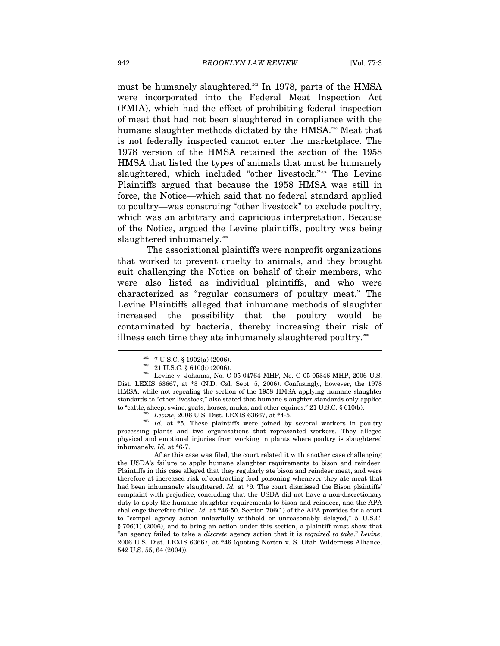must be humanely slaughtered.<sup>202</sup> In 1978, parts of the HMSA were incorporated into the Federal Meat Inspection Act (FMIA), which had the effect of prohibiting federal inspection of meat that had not been slaughtered in compliance with the humane slaughter methods dictated by the HMSA.<sup>203</sup> Meat that is not federally inspected cannot enter the marketplace. The 1978 version of the HMSA retained the section of the 1958 HMSA that listed the types of animals that must be humanely slaughtered, which included "other livestock."<sup>204</sup> The Levine Plaintiffs argued that because the 1958 HMSA was still in force, the Notice—which said that no federal standard applied to poultry—was construing "other livestock" to exclude poultry, which was an arbitrary and capricious interpretation. Because of the Notice, argued the Levine plaintiffs, poultry was being slaughtered inhumanely.<sup>205</sup>

The associational plaintiffs were nonprofit organizations that worked to prevent cruelty to animals, and they brought suit challenging the Notice on behalf of their members, who were also listed as individual plaintiffs, and who were characterized as "regular consumers of poultry meat." The Levine Plaintiffs alleged that inhumane methods of slaughter increased the possibility that the poultry would be contaminated by bacteria, thereby increasing their risk of illness each time they ate inhumanely slaughtered poultry.<sup>206</sup>

<sup>&</sup>lt;sup>202</sup> 7 U.S.C. § 1902(a) (2006).<br><sup>203</sup> 21 U.S.C. § 610(b) (2006).<br><sup>204</sup> Levine v. Johanns, No. C 05-04764 MHP, No. C 05-05346 MHP, 2006 U.S. Dist. LEXIS 63667, at \*3 (N.D. Cal. Sept. 5, 2006). Confusingly, however, the 1978 HMSA, while not repealing the section of the 1958 HMSA applying humane slaughter standards to "other livestock," also stated that humane slaughter standards only applied

to "cattle, sheep, swine, goats, horses, mules, and other equines." 21 U.S.C. § 610(b).<br>
<sup>205</sup> Levine, 2006 U.S. Dist. LEXIS 63667, at \*4-5.<br>
<sup>206</sup> Id. at \*5. These plaintiffs were joined by several workers in poultry processing plants and two organizations that represented workers. They alleged physical and emotional injuries from working in plants where poultry is slaughtered inhumanely. *Id.* at \*6-7.

After this case was filed, the court related it with another case challenging the USDA's failure to apply humane slaughter requirements to bison and reindeer. Plaintiffs in this case alleged that they regularly ate bison and reindeer meat, and were therefore at increased risk of contracting food poisoning whenever they ate meat that had been inhumanely slaughtered. *Id.* at \*9. The court dismissed the Bison plaintiffs' complaint with prejudice, concluding that the USDA did not have a non-discretionary duty to apply the humane slaughter requirements to bison and reindeer, and the APA challenge therefore failed. *Id.* at \*46-50. Section 706(1) of the APA provides for a court to "compel agency action unlawfully withheld or unreasonably delayed," 5 U.S.C. § 706(1) (2006), and to bring an action under this section, a plaintiff must show that "an agency failed to take a *discrete* agency action that it is *required to take*." *Levine*, 2006 U.S. Dist. LEXIS 63667, at \*46 (quoting Norton v. S. Utah Wilderness Alliance, 542 U.S. 55, 64 (2004)).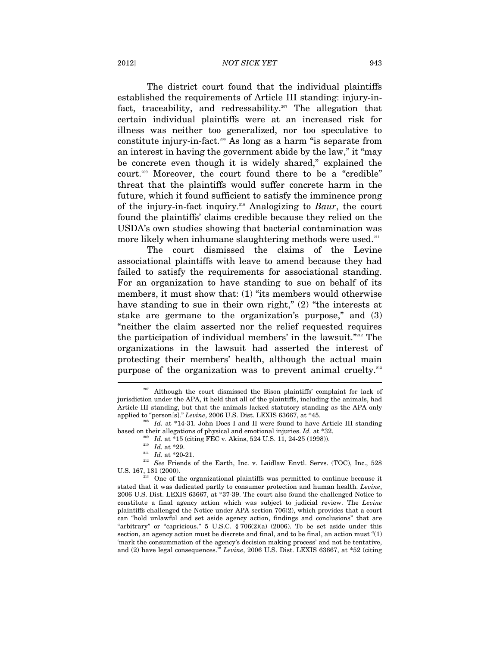#### 2012] *NOT SICK YET* 943

The district court found that the individual plaintiffs established the requirements of Article III standing: injury-infact, traceability, and redressability.<sup>207</sup> The allegation that certain individual plaintiffs were at an increased risk for illness was neither too generalized, nor too speculative to constitute injury-in-fact.208 As long as a harm "is separate from an interest in having the government abide by the law," it "may be concrete even though it is widely shared," explained the court.209 Moreover, the court found there to be a "credible" threat that the plaintiffs would suffer concrete harm in the future, which it found sufficient to satisfy the imminence prong of the injury-in-fact inquiry.210 Analogizing to *Baur*, the court found the plaintiffs' claims credible because they relied on the USDA's own studies showing that bacterial contamination was more likely when inhumane slaughtering methods were used.<sup>211</sup>

The court dismissed the claims of the Levine associational plaintiffs with leave to amend because they had failed to satisfy the requirements for associational standing. For an organization to have standing to sue on behalf of its members, it must show that: (1) "its members would otherwise have standing to sue in their own right," (2) "the interests at stake are germane to the organization's purpose," and (3) "neither the claim asserted nor the relief requested requires the participation of individual members' in the lawsuit."212 The organizations in the lawsuit had asserted the interest of protecting their members' health, although the actual main purpose of the organization was to prevent animal cruelty.<sup>213</sup>  $\overline{\phantom{a}}$ 

<sup>&</sup>lt;sup>207</sup> Although the court dismissed the Bison plaintiffs' complaint for lack of jurisdiction under the APA, it held that all of the plaintiffs, including the animals, had Article III standing, but that the animals lacked statutory standing as the APA only applied to "person[s]." *Levine*, 2006 U.S. Dist. LEXIS 63667, at \*45.<br><sup>208</sup> *Id.* at \*14-31. John Does I and II were found to have Article III standing

based on their allegations of physical and emotional injuries. *Id.* at \*32.<br><sup>209</sup> *Id.* at \*15 (citing FEC v. Akins, 524 U.S. 11, 24-25 (1998)).<br><sup>210</sup> *Id.* at \*29.<br><sup>211</sup> *Id.* at \*20-21.<br><sup>212</sup> *See* Friends of the Earth

U.S. 167, 181 (2000). <sup>213</sup> One of the organizational plaintiffs was permitted to continue because it

stated that it was dedicated partly to consumer protection and human health. *Levine*, 2006 U.S. Dist. LEXIS 63667, at \*37-39. The court also found the challenged Notice to constitute a final agency action which was subject to judicial review. The *Levine* plaintiffs challenged the Notice under APA section 706(2), which provides that a court can "hold unlawful and set aside agency action, findings and conclusions" that are "arbitrary" or "capricious."  $5 \text{ U.S.C. }$   $\frac{6}{9}$   $706(2)(\text{a})$   $(2006)$ . To be set aside under this section, an agency action must be discrete and final, and to be final, an action must "(1) 'mark the consummation of the agency's decision making process' and not be tentative, and (2) have legal consequences.'" *Levine*, 2006 U.S. Dist. LEXIS 63667, at \*52 (citing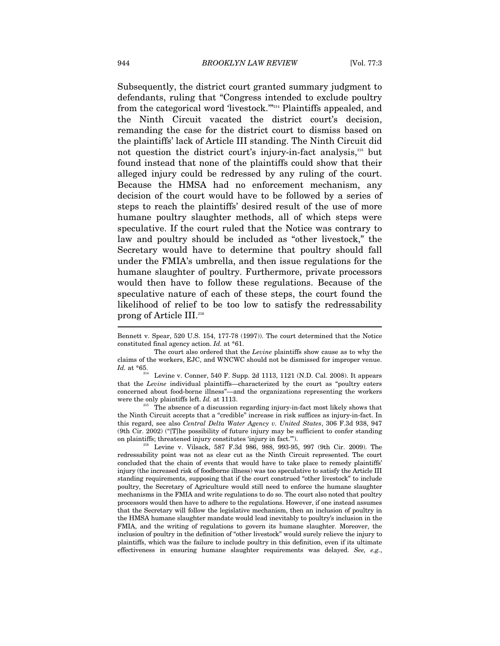Subsequently, the district court granted summary judgment to defendants, ruling that "Congress intended to exclude poultry from the categorical word 'livestock.'"214 Plaintiffs appealed, and the Ninth Circuit vacated the district court's decision, remanding the case for the district court to dismiss based on the plaintiffs' lack of Article III standing. The Ninth Circuit did not question the district court's injury-in-fact analysis,215 but found instead that none of the plaintiffs could show that their alleged injury could be redressed by any ruling of the court. Because the HMSA had no enforcement mechanism, any decision of the court would have to be followed by a series of steps to reach the plaintiffs' desired result of the use of more humane poultry slaughter methods, all of which steps were speculative. If the court ruled that the Notice was contrary to law and poultry should be included as "other livestock," the Secretary would have to determine that poultry should fall under the FMIA's umbrella, and then issue regulations for the humane slaughter of poultry. Furthermore, private processors would then have to follow these regulations. Because of the speculative nature of each of these steps, the court found the likelihood of relief to be too low to satisfy the redressability prong of Article III.<sup>216</sup> r<br>-

Bennett v. Spear, 520 U.S. 154, 177-78 (1997)). The court determined that the Notice constituted final agency action. *Id.* at \*61.

The court also ordered that the *Levine* plaintiffs show cause as to why the claims of the workers, EJC, and WNCWC should not be dismissed for improper venue.  $\mathit{Id.}$  at \*65.

Levine v. Conner, 540 F. Supp. 2d 1113, 1121 (N.D. Cal. 2008). It appears that the *Levine* individual plaintiffs—characterized by the court as "poultry eaters concerned about food-borne illness"—and the organizations representing the workers were the only plaintiffs left. *Id.* at 1113.<br><sup>215</sup> The absence of a discussion regarding injury-in-fact most likely shows that

the Ninth Circuit accepts that a "credible" increase in risk suffices as injury-in-fact. In this regard, see also *Central Delta Water Agency v. United States*, 306 F.3d 938, 947 (9th Cir. 2002) ("[T]he possibility of future injury may be sufficient to confer standing on plaintiffs; threatened injury constitutes 'injury in fact.'").<br><sup>216</sup> Levine v. Vilsack, 587 F.3d 986, 988, 993-95, 997 (9th Cir. 2009). The

redressability point was not as clear cut as the Ninth Circuit represented. The court concluded that the chain of events that would have to take place to remedy plaintiffs' injury (the increased risk of foodborne illness) was too speculative to satisfy the Article III standing requirements, supposing that if the court construed "other livestock" to include poultry, the Secretary of Agriculture would still need to enforce the humane slaughter mechanisms in the FMIA and write regulations to do so. The court also noted that poultry processors would then have to adhere to the regulations. However, if one instead assumes that the Secretary will follow the legislative mechanism, then an inclusion of poultry in the HMSA humane slaughter mandate would lead inevitably to poultry's inclusion in the FMIA, and the writing of regulations to govern its humane slaughter. Moreover, the inclusion of poultry in the definition of "other livestock" would surely relieve the injury to plaintiffs, which was the failure to include poultry in this definition, even if its ultimate effectiveness in ensuring humane slaughter requirements was delayed. *See, e.g.*,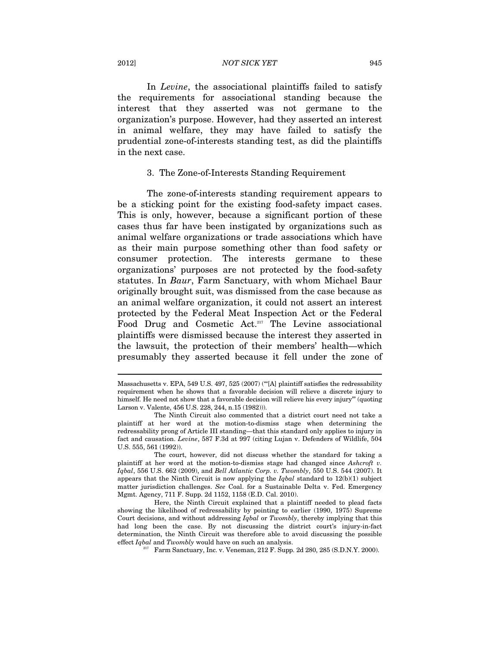#### 2012] *NOT SICK YET* 945

In *Levine*, the associational plaintiffs failed to satisfy the requirements for associational standing because the interest that they asserted was not germane to the organization's purpose. However, had they asserted an interest in animal welfare, they may have failed to satisfy the prudential zone-of-interests standing test, as did the plaintiffs in the next case.

# 3. The Zone-of-Interests Standing Requirement

The zone-of-interests standing requirement appears to be a sticking point for the existing food-safety impact cases. This is only, however, because a significant portion of these cases thus far have been instigated by organizations such as animal welfare organizations or trade associations which have as their main purpose something other than food safety or consumer protection. The interests germane to these organizations' purposes are not protected by the food-safety statutes. In *Baur*, Farm Sanctuary, with whom Michael Baur originally brought suit, was dismissed from the case because as an animal welfare organization, it could not assert an interest protected by the Federal Meat Inspection Act or the Federal Food Drug and Cosmetic Act.<sup>217</sup> The Levine associational plaintiffs were dismissed because the interest they asserted in the lawsuit, the protection of their members' health—which presumably they asserted because it fell under the zone of

Massachusetts v. EPA, 549 U.S. 497, 525 (2007) ("'[A] plaintiff satisfies the redressability requirement when he shows that a favorable decision will relieve a discrete injury to himself. He need not show that a favorable decision will relieve his every injury'" (quoting Larson v. Valente, 456 U.S. 228, 244, n.15 (1982))).

The Ninth Circuit also commented that a district court need not take a plaintiff at her word at the motion-to-dismiss stage when determining the redressability prong of Article III standing—that this standard only applies to injury in fact and causation. *Levine*, 587 F.3d at 997 (citing Lujan v. Defenders of Wildlife, 504 U.S. 555, 561 (1992)).

The court, however, did not discuss whether the standard for taking a plaintiff at her word at the motion-to-dismiss stage had changed since *Ashcroft v. Iqbal*, 556 U.S. 662 (2009), and *Bell Atlantic Corp. v. Twombly*, 550 U.S. 544 (2007). It appears that the Ninth Circuit is now applying the *Iqbal* standard to 12(b)(1) subject matter jurisdiction challenges. *See* Coal. for a Sustainable Delta v. Fed. Emergency Mgmt. Agency, 711 F. Supp. 2d 1152, 1158 (E.D. Cal. 2010).

Here, the Ninth Circuit explained that a plaintiff needed to plead facts showing the likelihood of redressability by pointing to earlier (1990, 1975) Supreme Court decisions, and without addressing *Iqbal* or *Twombly*, thereby implying that this had long been the case. By not discussing the district court's injury-in-fact determination, the Ninth Circuit was therefore able to avoid discussing the possible effect *Iqbal* and *Twombly* would have on such an analysis.<br><sup>217</sup> Farm Sanctuary, Inc. v. Veneman, 212 F. Supp. 2d 280, 285 (S.D.N.Y. 2000).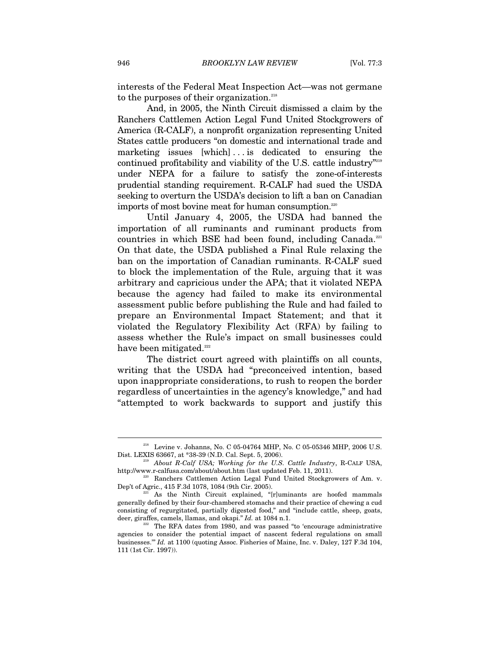interests of the Federal Meat Inspection Act—was not germane to the purposes of their organization.<sup>218</sup>

And, in 2005, the Ninth Circuit dismissed a claim by the Ranchers Cattlemen Action Legal Fund United Stockgrowers of America (R-CALF), a nonprofit organization representing United States cattle producers "on domestic and international trade and marketing issues [which] . . . is dedicated to ensuring the continued profitability and viability of the U.S. cattle industry"219 under NEPA for a failure to satisfy the zone-of-interests prudential standing requirement. R-CALF had sued the USDA seeking to overturn the USDA's decision to lift a ban on Canadian imports of most bovine meat for human consumption.<sup>220</sup>

Until January 4, 2005, the USDA had banned the importation of all ruminants and ruminant products from countries in which BSE had been found, including Canada.<sup>221</sup> On that date, the USDA published a Final Rule relaxing the ban on the importation of Canadian ruminants. R-CALF sued to block the implementation of the Rule, arguing that it was arbitrary and capricious under the APA; that it violated NEPA because the agency had failed to make its environmental assessment public before publishing the Rule and had failed to prepare an Environmental Impact Statement; and that it violated the Regulatory Flexibility Act (RFA) by failing to assess whether the Rule's impact on small businesses could have been mitigated. $222$ 

The district court agreed with plaintiffs on all counts, writing that the USDA had "preconceived intention, based upon inappropriate considerations, to rush to reopen the border regardless of uncertainties in the agency's knowledge," and had "attempted to work backwards to support and justify this

 $^{218}$  Levine v. Johanns, No. C 05-04764 MHP, No. C 05-05346 MHP, 2006 U.S. Dist. LEXIS 63667, at \*38-39 (N.D. Cal. Sept. 5, 2006).

<sup>&</sup>lt;sup>219</sup> About R-Calf USA; Working for the U.S. Cattle Industry, R-CALF USA, http://www.r-calfusa.com/about/about.htm (last updated Feb. 11, 2011).<br><sup>220</sup> Ranchers Cattlemen Action Legal Fund United Stockgrowers of Am. v.

Dep't of Agric., 415 F.3d 1078, 1084 (9th Cir. 2005). <br>221 As the Ninth Circuit explained, "[r]uminants are hoofed mammals

generally defined by their four-chambered stomachs and their practice of chewing a cud consisting of regurgitated, partially digested food," and "include cattle, sheep, goats, deer, giraffes, camels, llamas, and okapi." *Id.* at 1084 n.1.<br><sup>222</sup> The RFA dates from 1980, and was passed "to 'encourage administrative

agencies to consider the potential impact of nascent federal regulations on small businesses.'" *Id.* at 1100 (quoting Assoc. Fisheries of Maine, Inc. v. Daley, 127 F.3d 104, 111 (1st Cir. 1997)).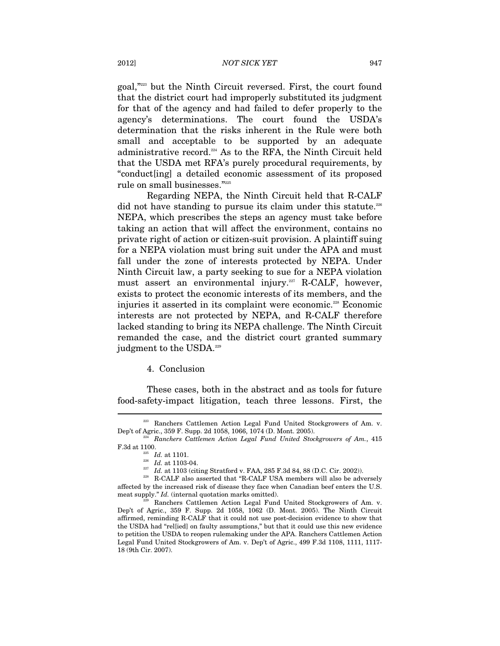goal,"223 but the Ninth Circuit reversed. First, the court found that the district court had improperly substituted its judgment for that of the agency and had failed to defer properly to the agency's determinations. The court found the USDA's determination that the risks inherent in the Rule were both small and acceptable to be supported by an adequate administrative record.224 As to the RFA, the Ninth Circuit held that the USDA met RFA's purely procedural requirements, by "conduct[ing] a detailed economic assessment of its proposed rule on small businesses."225

Regarding NEPA, the Ninth Circuit held that R-CALF did not have standing to pursue its claim under this statute.<sup>226</sup> NEPA, which prescribes the steps an agency must take before taking an action that will affect the environment, contains no private right of action or citizen-suit provision. A plaintiff suing for a NEPA violation must bring suit under the APA and must fall under the zone of interests protected by NEPA. Under Ninth Circuit law, a party seeking to sue for a NEPA violation must assert an environmental injury.<sup>227</sup> R-CALF, however, exists to protect the economic interests of its members, and the injuries it asserted in its complaint were economic.<sup>228</sup> Economic interests are not protected by NEPA, and R-CALF therefore lacked standing to bring its NEPA challenge. The Ninth Circuit remanded the case, and the district court granted summary judgment to the USDA.<sup>229</sup>

4. Conclusion

These cases, both in the abstract and as tools for future food-safety-impact litigation, teach three lessons. First, the

<sup>223</sup> Ranchers Cattlemen Action Legal Fund United Stockgrowers of Am. v. Dep't of Agric., 359 F. Supp. 2d 1058, 1066, 1074 (D. Mont. 2005). 224 *Ranchers Cattlemen Action Legal Fund United Stockgrowers of Am.*, 415

F.3d at 1100.<br>  $\begin{array}{r} \scriptstyle 225 \scriptstyle \, 226 \scriptstyle \, 226 \scriptstyle \, 126 \scriptstyle \, 126 \scriptstyle \, 126 \scriptstyle \, 126 \scriptstyle \, 126 \scriptstyle \, 126 \scriptstyle \, 126 \scriptstyle \, 126 \scriptstyle \, 126 \scriptstyle \, 126 \scriptstyle \, 126 \scriptstyle \, 126 \scriptstyle \, 126 \scriptstyle \, 126 \scriptstyle \, 126 \scriptstyle \, 126 \scriptstyle \, 126 \scriptstyle \, 126 \scriptstyle \, 126 \script$ 

<sup>&</sup>lt;sup>227</sup> Id. at 1103 (citing Stratford v. FAA, 285 F.3d 84, 88 (D.C. Cir. 2002)). <br><sup>228</sup> R-CALF also asserted that "R-CALF USA members will also be adversely affected by the increased risk of disease they face when Canadian beef enters the U.S. meat supply." *Id.* (internal quotation marks omitted).<br><sup>229</sup> Ranchers Cattlemen Action Legal Fund United Stockgrowers of Am. v.

Dep't of Agric., 359 F. Supp. 2d 1058, 1062 (D. Mont. 2005). The Ninth Circuit affirmed, reminding R-CALF that it could not use post-decision evidence to show that the USDA had "rel[ied] on faulty assumptions," but that it could use this new evidence to petition the USDA to reopen rulemaking under the APA. Ranchers Cattlemen Action Legal Fund United Stockgrowers of Am. v. Dep't of Agric., 499 F.3d 1108, 1111, 1117- 18 (9th Cir. 2007).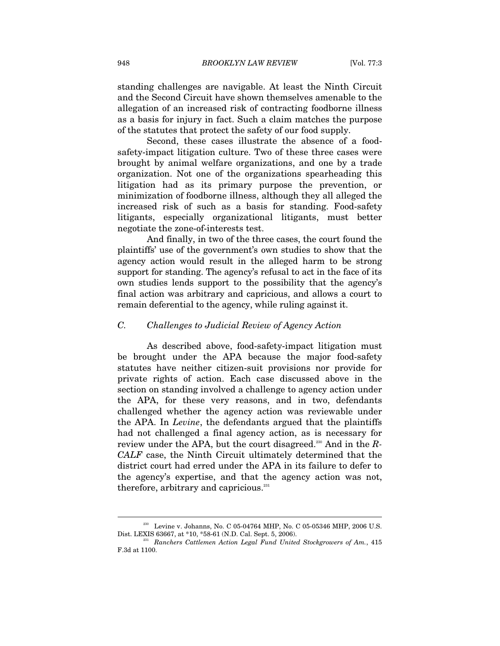standing challenges are navigable. At least the Ninth Circuit and the Second Circuit have shown themselves amenable to the allegation of an increased risk of contracting foodborne illness as a basis for injury in fact. Such a claim matches the purpose of the statutes that protect the safety of our food supply.

Second, these cases illustrate the absence of a foodsafety-impact litigation culture. Two of these three cases were brought by animal welfare organizations, and one by a trade organization. Not one of the organizations spearheading this litigation had as its primary purpose the prevention, or minimization of foodborne illness, although they all alleged the increased risk of such as a basis for standing. Food-safety litigants, especially organizational litigants, must better negotiate the zone-of-interests test.

And finally, in two of the three cases, the court found the plaintiffs' use of the government's own studies to show that the agency action would result in the alleged harm to be strong support for standing. The agency's refusal to act in the face of its own studies lends support to the possibility that the agency's final action was arbitrary and capricious, and allows a court to remain deferential to the agency, while ruling against it.

# *C. Challenges to Judicial Review of Agency Action*

As described above, food-safety-impact litigation must be brought under the APA because the major food-safety statutes have neither citizen-suit provisions nor provide for private rights of action. Each case discussed above in the section on standing involved a challenge to agency action under the APA, for these very reasons, and in two, defendants challenged whether the agency action was reviewable under the APA. In *Levine*, the defendants argued that the plaintiffs had not challenged a final agency action, as is necessary for review under the APA, but the court disagreed.230 And in the *R-CALF* case, the Ninth Circuit ultimately determined that the district court had erred under the APA in its failure to defer to the agency's expertise, and that the agency action was not, therefore, arbitrary and capricious.<sup>231</sup>

<sup>&</sup>lt;sup>230</sup> Levine v. Johanns, No. C 05-04764 MHP, No. C 05-05346 MHP, 2006 U.S. Dist. LEXIS 63667, at \*10, \*58-61 (N.D. Cal. Sept. 5, 2006).

<sup>&</sup>lt;sup>231</sup> Ranchers Cattlemen Action Legal Fund United Stockgrowers of Am., 415 F.3d at 1100.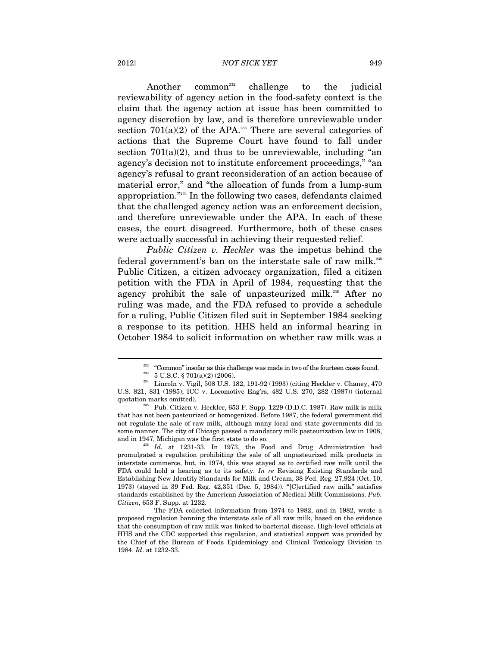#### 2012] *NOT SICK YET* 949

Another common<sup>232</sup> challenge to the judicial reviewability of agency action in the food-safety context is the claim that the agency action at issue has been committed to agency discretion by law, and is therefore unreviewable under section  $701(a)(2)$  of the APA.<sup>233</sup> There are several categories of actions that the Supreme Court have found to fall under section  $701(a)(2)$ , and thus to be unreviewable, including "an agency's decision not to institute enforcement proceedings," "an agency's refusal to grant reconsideration of an action because of material error," and "the allocation of funds from a lump-sum appropriation."234 In the following two cases, defendants claimed that the challenged agency action was an enforcement decision, and therefore unreviewable under the APA. In each of these cases, the court disagreed. Furthermore, both of these cases were actually successful in achieving their requested relief.

*Public Citizen v. Heckler* was the impetus behind the federal government's ban on the interstate sale of raw milk.235 Public Citizen, a citizen advocacy organization, filed a citizen petition with the FDA in April of 1984, requesting that the agency prohibit the sale of unpasteurized milk.<sup>236</sup> After no ruling was made, and the FDA refused to provide a schedule for a ruling, Public Citizen filed suit in September 1984 seeking a response to its petition. HHS held an informal hearing in October 1984 to solicit information on whether raw milk was a

<sup>&</sup>lt;sup>232</sup> "Common" insofar as this challenge was made in two of the fourteen cases found.<br><sup>233</sup> 5 U.S.C. § 701(a)(2) (2006).<br><sup>234</sup> Lincoln v. Vigil, 508 U.S. 182, 191-92 (1993) (citing Heckler v. Chaney, 470

U.S. 821, 831 (1985); ICC v. Locomotive Eng'rs, 482 U.S. 270, 282 (1987)) (internal quotation marks omitted).<br><sup>235</sup> Pub. Citizen v. Heckler, 653 F. Supp. 1229 (D.D.C. 1987). Raw milk is milk

that has not been pasteurized or homogenized. Before 1987, the federal government did not regulate the sale of raw milk, although many local and state governments did in some manner. The city of Chicago passed a mandatory milk pasteurization law in 1908, and in 1947, Michigan was the first state to do so. 236 *Id.* at 1231-33. In 1973, the Food and Drug Administration had

promulgated a regulation prohibiting the sale of all unpasteurized milk products in interstate commerce, but, in 1974, this was stayed as to certified raw milk until the FDA could hold a hearing as to its safety. *In re* Revising Existing Standards and Establishing New Identity Standards for Milk and Cream, 38 Fed. Reg. 27,924 (Oct. 10, 1973) (stayed in 39 Fed. Reg. 42,351 (Dec. 5, 1984)). "[C]ertified raw milk" satisfies standards established by the American Association of Medical Milk Commissions. *Pub. Citizen*, 653 F. Supp. at 1232.

The FDA collected information from 1974 to 1982, and in 1982, wrote a proposed regulation banning the interstate sale of all raw milk, based on the evidence that the consumption of raw milk was linked to bacterial disease. High-level officials at HHS and the CDC supported this regulation, and statistical support was provided by the Chief of the Bureau of Foods Epidemiology and Clinical Toxicology Division in 1984. *Id*. at 1232-33.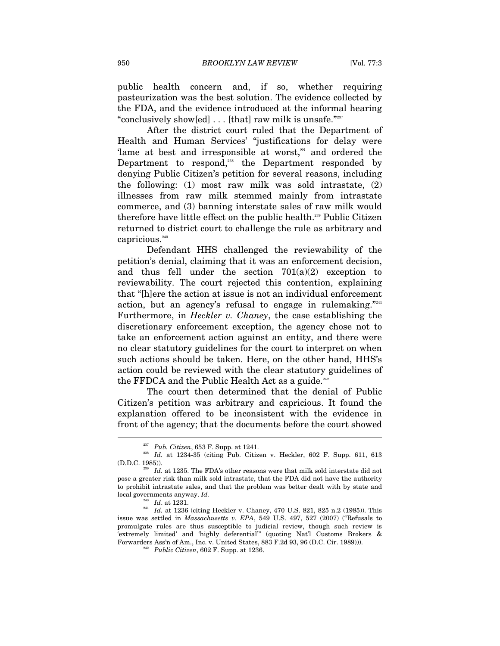public health concern and, if so, whether requiring pasteurization was the best solution. The evidence collected by the FDA, and the evidence introduced at the informal hearing "conclusively show[ed] . . . [that] raw milk is unsafe."237

After the district court ruled that the Department of Health and Human Services' "justifications for delay were 'lame at best and irresponsible at worst,'" and ordered the Department to respond,<sup>238</sup> the Department responded by denying Public Citizen's petition for several reasons, including the following: (1) most raw milk was sold intrastate, (2) illnesses from raw milk stemmed mainly from intrastate commerce, and (3) banning interstate sales of raw milk would therefore have little effect on the public health.<sup>239</sup> Public Citizen returned to district court to challenge the rule as arbitrary and capricious.<sup>240</sup>

Defendant HHS challenged the reviewability of the petition's denial, claiming that it was an enforcement decision, and thus fell under the section  $701(a)(2)$  exception to reviewability. The court rejected this contention, explaining that "[h]ere the action at issue is not an individual enforcement action, but an agency's refusal to engage in rulemaking."241 Furthermore, in *Heckler v. Chaney*, the case establishing the discretionary enforcement exception, the agency chose not to take an enforcement action against an entity, and there were no clear statutory guidelines for the court to interpret on when such actions should be taken. Here, on the other hand, HHS's action could be reviewed with the clear statutory guidelines of the FFDCA and the Public Health Act as a guide. $^{242}$ 

The court then determined that the denial of Public Citizen's petition was arbitrary and capricious. It found the explanation offered to be inconsistent with the evidence in front of the agency; that the documents before the court showed

<sup>237</sup> *Pub. Citizen*, 653 F. Supp. at 1241. 238 *Id.* at 1234-35 (citing Pub. Citizen v. Heckler, 602 F. Supp. 611, 613 (D.D.C. 1985)).  $Z^{239}$  *Id.* at 1235. The FDA's other reasons were that milk sold interstate did not

pose a greater risk than milk sold intrastate, that the FDA did not have the authority to prohibit intrastate sales, and that the problem was better dealt with by state and local governments anyway. *Id.*

<sup>&</sup>lt;sup>241</sup> Id. at 1236 (citing Heckler v. Chaney, 470 U.S. 821, 825 n.2 (1985)). This issue was settled in *Massachusetts v. EPA*, 549 U.S. 497, 527 (2007) ("Refusals to promulgate rules are thus susceptible to judicial review, though such review is 'extremely limited' and 'highly deferential'" (quoting Nat'l Customs Brokers & Forwarders Ass'n of Am., Inc. v. United States, 883 F.2d 93, 96 (D.C. Cir. 1989))). 242 *Public Citizen*, 602 F. Supp. at 1236.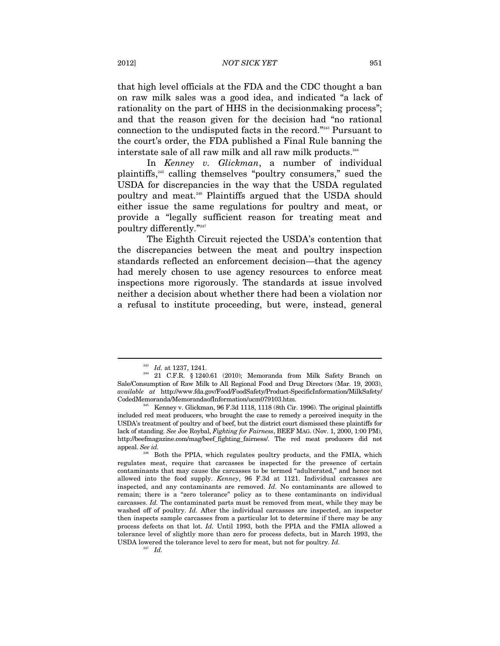that high level officials at the FDA and the CDC thought a ban on raw milk sales was a good idea, and indicated "a lack of rationality on the part of HHS in the decision making process"; and that the reason given for the decision had "no rational connection to the undisputed facts in the record."243 Pursuant to the court's order, the FDA published a Final Rule banning the interstate sale of all raw milk and all raw milk products.<sup>244</sup>

In *Kenney v. Glickman*, a number of individual plaintiffs,245 calling themselves "poultry consumers," sued the USDA for discrepancies in the way that the USDA regulated poultry and meat.246 Plaintiffs argued that the USDA should either issue the same regulations for poultry and meat, or provide a "legally sufficient reason for treating meat and  $\mathop{\rm\,}\nolimits^{\rm\!}$  poultry differently." $\real^{n_{247}}$ 

The Eighth Circuit rejected the USDA's contention that the discrepancies between the meat and poultry inspection standards reflected an enforcement decision—that the agency had merely chosen to use agency resources to enforce meat inspections more rigorously. The standards at issue involved neither a decision about whether there had been a violation nor a refusal to institute proceeding, but were, instead, general

 $\footnotesize{^{243}$   $Id.$  at 1237, 1241. <br> $\footnotesize{^{244} }$  21 C.F.R. § 1240.61 (2010); Memoranda from Milk Safety Branch on Sale/Consumption of Raw Milk to All Regional Food and Drug Directors (Mar. 19, 2003), *available at* http://www.fda.gov/Food/FoodSafety/Product-SpecificInformation/MilkSafety/

 $^{45}$  Kenney v. Glickman, 96 F.3d 1118, 1118 (8th Cir. 1996). The original plaintiffs included red meat producers, who brought the case to remedy a perceived inequity in the USDA's treatment of poultry and of beef, but the district court dismissed these plaintiffs for lack of standing. *See* Joe Roybal, *Fighting for Fairness*, BEEF MAG. (Nov. 1, 2000, 1:00 PM), http://beefmagazine.com/mag/beef\_fighting\_fairness/. The red meat producers did not appeal. *See id.* 

Both the PPIA, which regulates poultry products, and the FMIA, which regulates meat, require that carcasses be inspected for the presence of certain contaminants that may cause the carcasses to be termed "adulterated," and hence not allowed into the food supply. *Kenney*, 96 F.3d at 1121. Individual carcasses are inspected, and any contaminants are removed. *Id.* No contaminants are allowed to remain; there is a "zero tolerance" policy as to these contaminants on individual carcasses. *Id.* The contaminated parts must be removed from meat, while they may be washed off of poultry. *Id.* After the individual carcasses are inspected, an inspector then inspects sample carcasses from a particular lot to determine if there may be any process defects on that lot. *Id.* Until 1993, both the PPIA and the FMIA allowed a tolerance level of slightly more than zero for process defects, but in March 1993, the USDA lowered the tolerance level to zero for meat, but not for poultry. *Id.* <sup>247</sup> *Id.*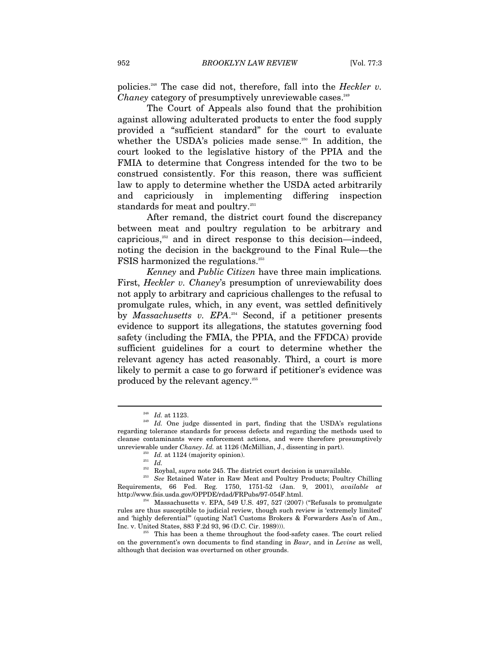policies.248 The case did not, therefore, fall into the *Heckler v. Chaney* category of presumptively unreviewable cases.<sup>249</sup>

The Court of Appeals also found that the prohibition against allowing adulterated products to enter the food supply provided a "sufficient standard" for the court to evaluate whether the USDA's policies made sense.<sup>250</sup> In addition, the court looked to the legislative history of the PPIA and the FMIA to determine that Congress intended for the two to be construed consistently. For this reason, there was sufficient law to apply to determine whether the USDA acted arbitrarily and capriciously in implementing differing inspection standards for meat and poultry.<sup>251</sup>

After remand, the district court found the discrepancy between meat and poultry regulation to be arbitrary and capricious, $252$  and in direct response to this decision—indeed, noting the decision in the background to the Final Rule—the FSIS harmonized the regulations.<sup>253</sup>

*Kenney* and *Public Citizen* have three main implications*.* First, *Heckler v. Chaney*'s presumption of unreviewability does not apply to arbitrary and capricious challenges to the refusal to promulgate rules, which, in any event, was settled definitively by *Massachusetts v. EPA*. 254 Second, if a petitioner presents evidence to support its allegations, the statutes governing food safety (including the FMIA, the PPIA, and the FFDCA) provide sufficient guidelines for a court to determine whether the relevant agency has acted reasonably. Third, a court is more likely to permit a case to go forward if petitioner's evidence was produced by the relevant agency.<sup>255</sup>

 $^{248}$   $\,$   $Id.$  <br> One judge dissented in part, finding that the USDA's regulations  $^{249}$ regarding tolerance standards for process defects and regarding the methods used to cleanse contaminants were enforcement actions, and were therefore presumptively unreviewable under *Chaney*. *Id.* at 1126 (McMillian, J., dissenting in part).<br><sup>250</sup> *Id.* at 1124 (majority opinion).<br><sup>251</sup> *Id.* Roybal, *supra* note 245. The district court decision is unavailable.

<sup>&</sup>lt;sup>253</sup> See Retained Water in Raw Meat and Poultry Products; Poultry Chilling Requirements, 66 Fed. Reg. 1750, 1751-52 (Jan. 9, 2001), *available at*

 $h^{254}$  Massachusetts v. EPA, 549 U.S. 497, 527 (2007) ("Refusals to promulgate rules are thus susceptible to judicial review, though such review is 'extremely limited' and 'highly deferential'" (quoting Nat'l Customs Brokers & Forwarders Ass'n of Am., Inc. v. United States, 883 F.2d 93, 96 (D.C. Cir. 1989))).<br><sup>255</sup> This has been a theme throughout the food-safety cases. The court relied

on the government's own documents to find standing in *Baur*, and in *Levine* as well, although that decision was overturned on other grounds.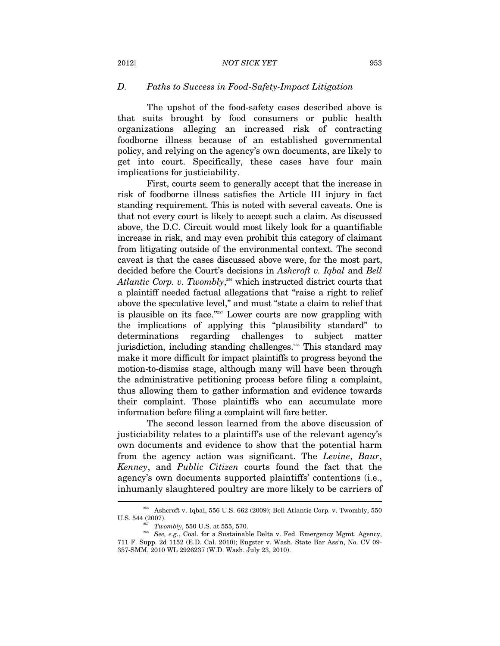### *D. Paths to Success in Food-Safety-Impact Litigation*

The upshot of the food-safety cases described above is that suits brought by food consumers or public health organizations alleging an increased risk of contracting foodborne illness because of an established governmental policy, and relying on the agency's own documents, are likely to get into court. Specifically, these cases have four main implications for justiciability.

First, courts seem to generally accept that the increase in risk of foodborne illness satisfies the Article III injury in fact standing requirement. This is noted with several caveats. One is that not every court is likely to accept such a claim. As discussed above, the D.C. Circuit would most likely look for a quantifiable increase in risk, and may even prohibit this category of claimant from litigating outside of the environmental context. The second caveat is that the cases discussed above were, for the most part, decided before the Court's decisions in *Ashcroft v. Iqbal* and *Bell*  Atlantic Corp. v. Twombly,<sup>256</sup> which instructed district courts that a plaintiff needed factual allegations that "raise a right to relief above the speculative level," and must "state a claim to relief that is plausible on its face."257 Lower courts are now grappling with the implications of applying this "plausibility standard" to determinations regarding challenges to subject matter jurisdiction, including standing challenges.<sup>258</sup> This standard may make it more difficult for impact plaintiffs to progress beyond the motion-to-dismiss stage, although many will have been through the administrative petitioning process before filing a complaint, thus allowing them to gather information and evidence towards their complaint. Those plaintiffs who can accumulate more information before filing a complaint will fare better.

The second lesson learned from the above discussion of justiciability relates to a plaintiff's use of the relevant agency's own documents and evidence to show that the potential harm from the agency action was significant. The *Levine*, *Baur*, *Kenney*, and *Public Citizen* courts found the fact that the agency's own documents supported plaintiffs' contentions (i.e., inhumanly slaughtered poultry are more likely to be carriers of

<sup>256</sup> Ashcroft v. Iqbal, 556 U.S. 662 (2009); Bell Atlantic Corp. v. Twombly, 550 U.S. 544 (2007). 257 *Twombly*, 550 U.S. at 555, 570. 258 *See, e.g.*, Coal. for a Sustainable Delta v. Fed. Emergency Mgmt. Agency,

<sup>711</sup> F. Supp. 2d 1152 (E.D. Cal. 2010); Eugster v. Wash. State Bar Ass'n, No. CV 09- 357-SMM, 2010 WL 2926237 (W.D. Wash. July 23, 2010).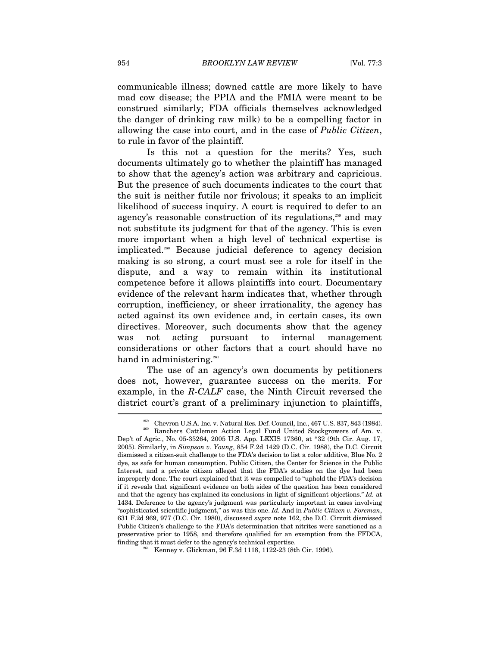communicable illness; downed cattle are more likely to have mad cow disease; the PPIA and the FMIA were meant to be construed similarly; FDA officials themselves acknowledged the danger of drinking raw milk) to be a compelling factor in allowing the case into court, and in the case of *Public Citizen*, to rule in favor of the plaintiff.

Is this not a question for the merits? Yes, such documents ultimately go to whether the plaintiff has managed to show that the agency's action was arbitrary and capricious. But the presence of such documents indicates to the court that the suit is neither futile nor frivolous; it speaks to an implicit likelihood of success inquiry. A court is required to defer to an agency's reasonable construction of its regulations,<sup>259</sup> and may not substitute its judgment for that of the agency. This is even more important when a high level of technical expertise is implicated.260 Because judicial deference to agency decision making is so strong, a court must see a role for itself in the dispute, and a way to remain within its institutional competence before it allows plaintiffs into court. Documentary evidence of the relevant harm indicates that, whether through corruption, inefficiency, or sheer irrationality, the agency has acted against its own evidence and, in certain cases, its own directives. Moreover, such documents show that the agency was not acting pursuant to internal management considerations or other factors that a court should have no hand in administering.<sup>261</sup>

The use of an agency's own documents by petitioners does not, however, guarantee success on the merits. For example, in the *R-CALF* case, the Ninth Circuit reversed the district court's grant of a preliminary injunction to plaintiffs,  $\overline{\phantom{a}}$ 

 $^{259}$  Chevron U.S.A. Inc. v. Natural Res. Def. Council, Inc., 467 U.S. 837, 843 (1984). Ranchers Cattlemen Action Legal Fund United Stockgrowers of Am. v.

Dep't of Agric., No. 05-35264, 2005 U.S. App. LEXIS 17360, at \*32 (9th Cir. Aug. 17, 2005). Similarly, in *Simpson v. Young*, 854 F.2d 1429 (D.C. Cir. 1988), the D.C. Circuit dismissed a citizen-suit challenge to the FDA's decision to list a color additive, Blue No. 2 dye, as safe for human consumption. Public Citizen, the Center for Science in the Public Interest, and a private citizen alleged that the FDA's studies on the dye had been improperly done. The court explained that it was compelled to "uphold the FDA's decision if it reveals that significant evidence on both sides of the question has been considered and that the agency has explained its conclusions in light of significant objections." *Id.* at 1434. Deference to the agency's judgment was particularly important in cases involving "sophisticated scientific judgment," as was this one. *Id.* And in *Public Citizen v. Foreman*, 631 F.2d 969, 977 (D.C. Cir. 1980), discussed *supra* note 162, the D.C. Circuit dismissed Public Citizen's challenge to the FDA's determination that nitrites were sanctioned as a preservative prior to 1958, and therefore qualified for an exemption from the FFDCA, finding that it must defer to the agency's technical expertise.<br><sup>261</sup> Kenney v. Glickman, 96 F.3d 1118, 1122-23 (8th Cir. 1996).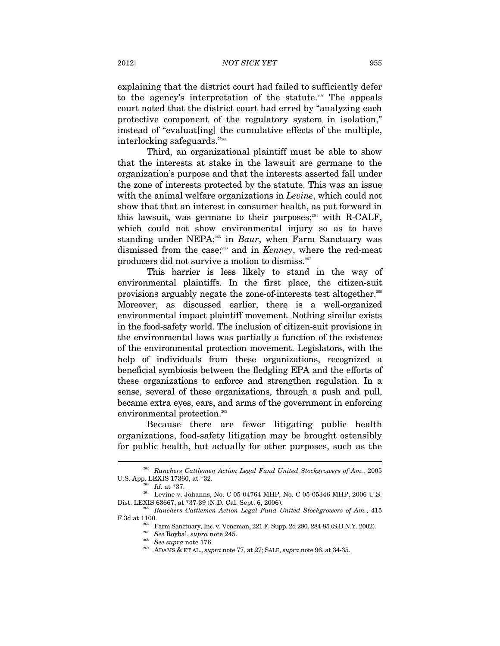explaining that the district court had failed to sufficiently defer to the agency's interpretation of the statute.<sup>262</sup> The appeals court noted that the district court had erred by "analyzing each protective component of the regulatory system in isolation," instead of "evaluat[ing] the cumulative effects of the multiple, interlocking safeguards."263

Third, an organizational plaintiff must be able to show that the interests at stake in the lawsuit are germane to the organization's purpose and that the interests asserted fall under the zone of interests protected by the statute. This was an issue with the animal welfare organizations in *Levine*, which could not show that that an interest in consumer health, as put forward in this lawsuit, was germane to their purposes;  $264$  with R-CALF, which could not show environmental injury so as to have standing under NEPA;<sup>265</sup> in *Baur*, when Farm Sanctuary was dismissed from the case;<sup>266</sup> and in *Kenney*, where the red-meat producers did not survive a motion to dismiss.<sup>267</sup>

This barrier is less likely to stand in the way of environmental plaintiffs. In the first place, the citizen-suit provisions arguably negate the zone-of-interests test altogether.268 Moreover, as discussed earlier, there is a well-organized environmental impact plaintiff movement. Nothing similar exists in the food-safety world. The inclusion of citizen-suit provisions in the environmental laws was partially a function of the existence of the environmental protection movement. Legislators, with the help of individuals from these organizations, recognized a beneficial symbiosis between the fledgling EPA and the efforts of these organizations to enforce and strengthen regulation. In a sense, several of these organizations, through a push and pull, became extra eyes, ears, and arms of the government in enforcing environmental protection.<sup>269</sup>

Because there are fewer litigating public health organizations, food-safety litigation may be brought ostensibly for public health, but actually for other purposes, such as the

<sup>262</sup> *Ranchers Cattlemen Action Legal Fund United Stockgrowers of Am.*, 2005

U.S. App. LEXIS 17360, at \*32.<br>
<sup>264</sup> *Id.* at \*37.<br>
<sup>264</sup> Levine v. Johanns, No. C 05-04764 MHP, No. C 05-05346 MHP, 2006 U.S.<br>
Dist. LEXIS 63667, at \*37-39 (N.D. Cal. Sept. 6, 2006).

<sup>&</sup>lt;sup>265</sup> Ranchers Cattlemen Action Legal Fund United Stockgrowers of Am., 415 F.3d at 1100.<br>Farm Sanctuary, Inc. v. Veneman, 221 F. Supp. 2d 280, 284-85 (S.D.N.Y. 2002).<br><sup>267</sup> See Roybal, *supra* note 245.<br>*<sup>268</sup> See supra* note 176.<br>ADAMS & ET AL., *supra* note 77, at 27; SALE, *supra* note 96, at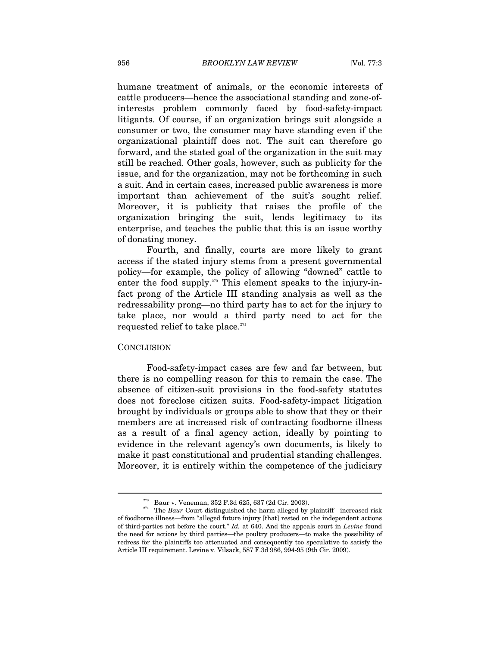humane treatment of animals, or the economic interests of cattle producers—hence the associational standing and zone-ofinterests problem commonly faced by food-safety-impact litigants. Of course, if an organization brings suit alongside a consumer or two, the consumer may have standing even if the organizational plaintiff does not. The suit can therefore go forward, and the stated goal of the organization in the suit may still be reached. Other goals, however, such as publicity for the issue, and for the organization, may not be forthcoming in such a suit. And in certain cases, increased public awareness is more important than achievement of the suit's sought relief. Moreover, it is publicity that raises the profile of the organization bringing the suit, lends legitimacy to its enterprise, and teaches the public that this is an issue worthy of donating money.

Fourth, and finally, courts are more likely to grant access if the stated injury stems from a present governmental policy—for example, the policy of allowing "downed" cattle to enter the food supply.<sup>270</sup> This element speaks to the injury-infact prong of the Article III standing analysis as well as the redressability prong—no third party has to act for the injury to take place, nor would a third party need to act for the requested relief to take place.<sup>271</sup>

#### **CONCLUSION**

 $\overline{a}$ 

Food-safety-impact cases are few and far between, but there is no compelling reason for this to remain the case. The absence of citizen-suit provisions in the food-safety statutes does not foreclose citizen suits. Food-safety-impact litigation brought by individuals or groups able to show that they or their members are at increased risk of contracting foodborne illness as a result of a final agency action, ideally by pointing to evidence in the relevant agency's own documents, is likely to make it past constitutional and prudential standing challenges. Moreover, it is entirely within the competence of the judiciary

<sup>&</sup>lt;sup>270</sup> Baur v. Veneman, 352 F.3d 625, 637 (2d Cir. 2003).<br><sup>271</sup> The *Baur* Court distinguished the harm alleged by plaintiff—increased risk of foodborne illness—from "alleged future injury [that] rested on the independent actions of third-parties not before the court." *Id.* at 640. And the appeals court in *Levine* found the need for actions by third parties—the poultry producers—to make the possibility of redress for the plaintiffs too attenuated and consequently too speculative to satisfy the Article III requirement. Levine v. Vilsack, 587 F.3d 986, 994-95 (9th Cir. 2009).